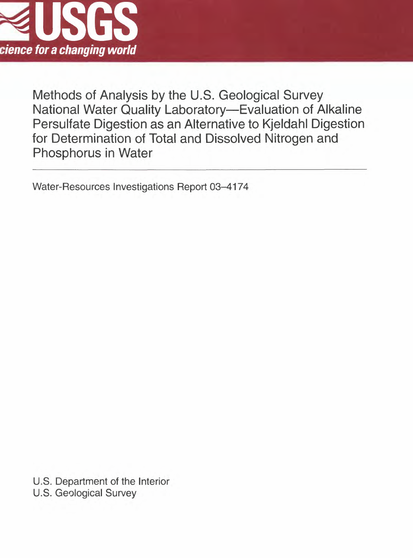

Methods of Analysis by the U.S. Geological Survey National Water Quality Laboratory—Evaluation of Alkaline Persulfate Digestion as an Alternative to Kjeldahl Digestion for Determination of Total and Dissolved Nitrogen and Phosphorus in Water

Water-Resources Investigations Report 03-4174

U.S. Department of the Interior U.S. Geological Survey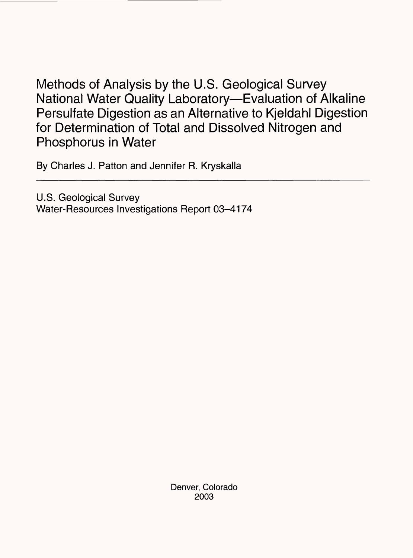Methods of Analysis by the U.S. Geological Survey National Water Quality Laboratory—Evaluation of Alkaline Persulfate Digestion as an Alternative to Kjeldahl Digestion for Determination of Total and Dissolved Nitrogen and Phosphorus in Water

By Charles J. Patton and Jennifer R. Kryskalla

U.S. Geological Survey Water-Resources Investigations Report 03-4174

> Denver, Colorado 2003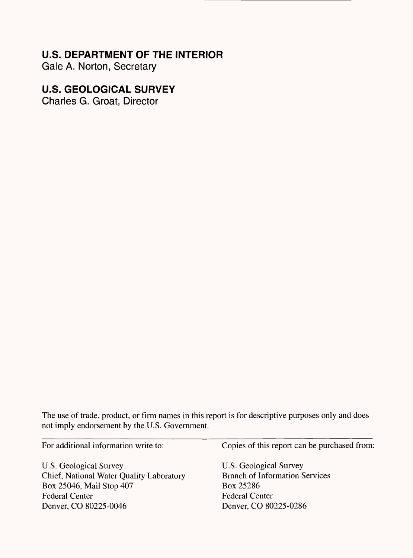# **U.S. DEPARTMENT OF THE INTERIOR**

Gale A. Norton, Secretary

# **U.S. GEOLOGICAL SURVEY**

Charles G. Groat, Director

The use of trade, product, or firm names in this report is for descriptive purposes only and does not imply endorsement by the U.S. Government.

| For additional information write to:     | Copies of this report can be purchased from: |
|------------------------------------------|----------------------------------------------|
| U.S. Geological Survey                   | U.S. Geological Survey                       |
| Chief, National Water Quality Laboratory | <b>Branch of Information Services</b>        |
| Box 25046, Mail Stop 407                 | Box 25286                                    |
| <b>Federal Center</b>                    | <b>Federal Center</b>                        |
| Denver, CO 80225-0046                    | Denver, CO 80225-0286                        |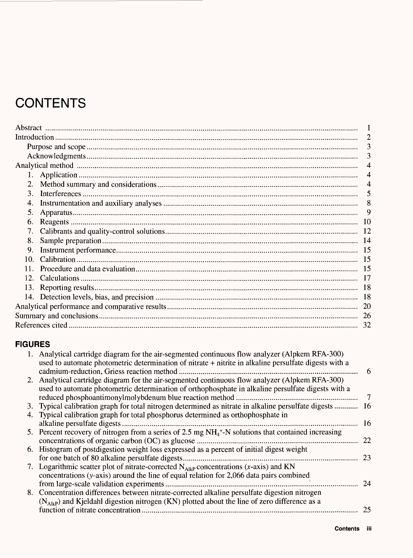# **CONTENTS**

|                                 | 2  |
|---------------------------------|----|
|                                 | 3  |
|                                 | 3  |
|                                 |    |
|                                 |    |
| 2.                              |    |
| 3.                              |    |
| $\overline{\phantom{0}}8$<br>4. |    |
| 5.                              | -9 |
| 6.                              |    |
| 7.                              |    |
| 8.                              |    |
| 9.                              |    |
| 10.                             |    |
|                                 |    |
| 12.                             |    |
|                                 |    |
|                                 |    |
|                                 |    |
|                                 |    |
|                                 |    |

# **FIGURES**

| Analytical cartridge diagram for the air-segmented continuous flow analyzer (Alpkem RFA-300)<br>used to automate photometric determination of nitrate + nitrite in alkaline persulfate digests with a | 6   |
|-------------------------------------------------------------------------------------------------------------------------------------------------------------------------------------------------------|-----|
| 2. Analytical cartridge diagram for the air-segmented continuous flow analyzer (Alpkem RFA-300)                                                                                                       |     |
| used to automate photometric determination of orthophosphate in alkaline persulfate digests with a                                                                                                    |     |
|                                                                                                                                                                                                       | 7   |
| 3. Typical calibration graph for total nitrogen determined as nitrate in alkaline persulfate digests                                                                                                  | -16 |
| 4. Typical calibration graph for total phosphorus determined as orthophosphate in                                                                                                                     |     |
|                                                                                                                                                                                                       | 16  |
| 5. Percent recovery of nitrogen from a series of 2.5 mg NH <sub>4</sub> <sup>+</sup> -N solutions that contained increasing                                                                           |     |
|                                                                                                                                                                                                       | 22  |
| 6. Histogram of postdigestion weight loss expressed as a percent of initial digest weight                                                                                                             |     |
|                                                                                                                                                                                                       | 23  |
| 7. Logarithmic scatter plot of nitrate-corrected $N_{A/kP}$ concentrations (x-axis) and KN                                                                                                            |     |
| concentrations (y-axis) around the line of equal relation for 2,066 data pairs combined                                                                                                               |     |
|                                                                                                                                                                                                       | 24  |
| 8. Concentration differences between nitrate-corrected alkaline persulfate digestion nitrogen                                                                                                         |     |
|                                                                                                                                                                                                       |     |
| $(N_{AlkP})$ and Kjeldahl digestion nitrogen (KN) plotted about the line of zero difference as a                                                                                                      |     |
|                                                                                                                                                                                                       | 25  |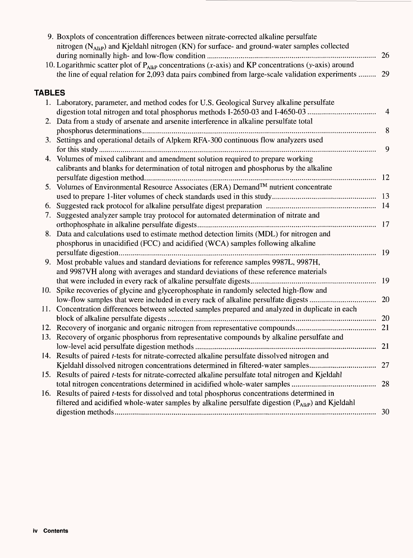|    | 9. Boxplots of concentration differences between nitrate-corrected alkaline persulfate<br>nitrogen (N <sub>AlkP</sub> ) and Kjeldahl nitrogen (KN) for surface- and ground-water samples collected           |               |
|----|--------------------------------------------------------------------------------------------------------------------------------------------------------------------------------------------------------------|---------------|
|    |                                                                                                                                                                                                              | 26            |
|    | 10. Logarithmic scatter plot of $P_{AlkP}$ concentrations (x-axis) and KP concentrations (y-axis) around<br>the line of equal relation for 2,093 data pairs combined from large-scale validation experiments | 29            |
|    | <b>TABLES</b>                                                                                                                                                                                                |               |
|    | 1. Laboratory, parameter, and method codes for U.S. Geological Survey alkaline persulfate                                                                                                                    |               |
|    | digestion total nitrogen and total phosphorus methods I-2650-03 and I-4650-03                                                                                                                                | 4             |
|    | 2. Data from a study of arsenate and arsenite interference in alkaline persulfate total                                                                                                                      |               |
|    |                                                                                                                                                                                                              | 8             |
|    | 3. Settings and operational details of Alpkem RFA-300 continuous flow analyzers used                                                                                                                         |               |
|    |                                                                                                                                                                                                              | 9             |
|    | 4. Volumes of mixed calibrant and amendment solution required to prepare working                                                                                                                             |               |
|    | calibrants and blanks for determination of total nitrogen and phosphorus by the alkaline                                                                                                                     |               |
|    |                                                                                                                                                                                                              | <sup>12</sup> |
|    | 5. Volumes of Environmental Resource Associates (ERA) Demand <sup>TM</sup> nutrient concentrate                                                                                                              |               |
|    |                                                                                                                                                                                                              |               |
| 6. |                                                                                                                                                                                                              |               |
|    | Suggested analyzer sample tray protocol for automated determination of nitrate and<br>7.                                                                                                                     |               |
|    | 8. Data and calculations used to estimate method detection limits (MDL) for nitrogen and                                                                                                                     |               |
|    | phosphorus in unacidified (FCC) and acidified (WCA) samples following alkaline                                                                                                                               |               |
|    |                                                                                                                                                                                                              | 19            |
|    | 9. Most probable values and standard deviations for reference samples 9987L, 9987H,                                                                                                                          |               |
|    | and 9987VH along with averages and standard deviations of these reference materials                                                                                                                          |               |
|    |                                                                                                                                                                                                              | 19            |
|    | 10. Spike recoveries of glycine and glycerophosphate in randomly selected high-flow and                                                                                                                      |               |
|    | low-flow samples that were included in every rack of alkaline persulfate digests                                                                                                                             | 20            |
|    | 11. Concentration differences between selected samples prepared and analyzed in duplicate in each                                                                                                            |               |
|    |                                                                                                                                                                                                              |               |
|    |                                                                                                                                                                                                              |               |
|    | 13. Recovery of organic phosphorus from representative compounds by alkaline persulfate and                                                                                                                  |               |
|    |                                                                                                                                                                                                              |               |
|    | 14. Results of paired t-tests for nitrate-corrected alkaline persulfate dissolved nitrogen and                                                                                                               |               |
|    |                                                                                                                                                                                                              |               |
|    | 15. Results of paired <i>t</i> -tests for nitrate-corrected alkaline persulfate total nitrogen and Kjeldahl                                                                                                  |               |
|    |                                                                                                                                                                                                              | 28            |
|    | 16. Results of paired <i>t</i> -tests for dissolved and total phosphorus concentrations determined in                                                                                                        |               |
|    | filtered and acidified whole-water samples by alkaline persulfate digestion $(P_{A kP})$ and Kjeldahl                                                                                                        |               |
|    |                                                                                                                                                                                                              | 30            |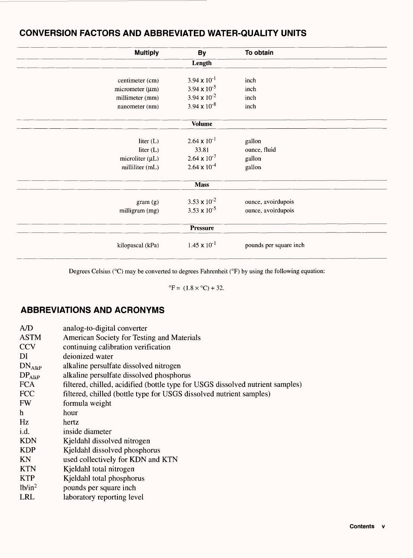| <b>Multiply</b>      | <b>By</b>             | To obtain              |
|----------------------|-----------------------|------------------------|
|                      | Length                |                        |
| centimeter (cm)      | $3.94 \times 10^{-1}$ | inch                   |
| micrometer $(\mu m)$ | 3.94 $\times 10^{-5}$ | inch                   |
| millimeter (mm)      | 3.94 $\times 10^{-2}$ | inch                   |
| nanometer (nm)       | $3.94 \times 10^{-8}$ | inch                   |
|                      | <b>Volume</b>         |                        |
| liter $(L)$          | $2.64 \times 10^{-1}$ | gallon                 |
| liter $(L)$          | 33.81                 | ounce, fluid           |
| microliter $(\mu L)$ | $2.64 \times 10^{-7}$ | gallon                 |
| milliliter (mL)      | $2.64 \times 10^{-4}$ | gallon                 |
|                      | <b>Mass</b>           |                        |
| gram(g)              | $3.53 \times 10^{-2}$ | ounce, avoirdupois     |
| milligram (mg)       | $3.53 \times 10^{-5}$ | ounce, avoirdupois     |
|                      | <b>Pressure</b>       |                        |
| kilopascal (kPa)     | $1.45 \times 10^{-1}$ | pounds per square inch |

# **CONVERSION FACTORS AND ABBREVIATED WATER-QUALITY UNITS**

 Degrees Celsius (°C) may be converted to degrees Fahrenheit (°F) by using the following equation:

 ${}^{\circ}F = (1.8 \times {}^{\circ}C) + 32.$ 

# **ABBREVIATIONS AND ACRONYMS**

| A/D                | analog-to-digital converter                                                    |
|--------------------|--------------------------------------------------------------------------------|
| <b>ASTM</b>        | American Society for Testing and Materials                                     |
| <b>CCV</b>         | continuing calibration verification                                            |
| DI                 | deionized water                                                                |
| DN <sub>AlkP</sub> | alkaline persulfate dissolved nitrogen                                         |
| DP <sub>AlkP</sub> | alkaline persulfate dissolved phosphorus                                       |
| <b>FCA</b>         | filtered, chilled, acidified (bottle type for USGS dissolved nutrient samples) |
| <b>FCC</b>         | filtered, chilled (bottle type for USGS dissolved nutrient samples)            |
| <b>FW</b>          | formula weight                                                                 |
| h                  | hour                                                                           |
| Hz                 | hertz                                                                          |
| i.d.               | inside diameter                                                                |
| <b>KDN</b>         | Kjeldahl dissolved nitrogen                                                    |
| <b>KDP</b>         | Kjeldahl dissolved phosphorus                                                  |
| KN                 | used collectively for KDN and KTN                                              |
| <b>KTN</b>         | Kjeldahl total nitrogen                                                        |
| <b>KTP</b>         | Kjeldahl total phosphorus                                                      |
| $1b/in^2$          | pounds per square inch                                                         |
| LRL                | laboratory reporting level                                                     |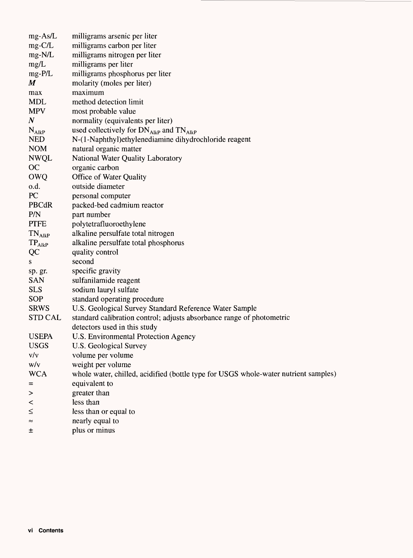| $mg-As/L$        | milligrams arsenic per liter                                                        |
|------------------|-------------------------------------------------------------------------------------|
| $mg-C/L$         | milligrams carbon per liter                                                         |
| mg-N/L           | milligrams nitrogen per liter                                                       |
| mg/L             | milligrams per liter                                                                |
| $mg-P/L$         | milligrams phosphorus per liter                                                     |
| $\boldsymbol{M}$ | molarity (moles per liter)                                                          |
| max              | maximum                                                                             |
| <b>MDL</b>       | method detection limit                                                              |
| <b>MPV</b>       | most probable value                                                                 |
| $\boldsymbol{N}$ | normality (equivalents per liter)                                                   |
| $N_{AlkP}$       | used collectively for DNAlkP and TNAlkP                                             |
| <b>NED</b>       | N-(1-Naphthyl)ethylenediamine dihydrochloride reagent                               |
| <b>NOM</b>       | natural organic matter                                                              |
| <b>NWQL</b>      | National Water Quality Laboratory                                                   |
| OC               | organic carbon                                                                      |
| OWQ              | Office of Water Quality                                                             |
| o.d.             | outside diameter                                                                    |
| PC               | personal computer                                                                   |
| <b>PBCdR</b>     | packed-bed cadmium reactor                                                          |
| P/N              | part number                                                                         |
| <b>PTFE</b>      | polytetrafluoroethylene                                                             |
| $\rm TN_{AlkP}$  | alkaline persulfate total nitrogen                                                  |
| $TP_{AlkP}$      | alkaline persulfate total phosphorus                                                |
| QC               | quality control                                                                     |
| S                | second                                                                              |
| sp. gr.          | specific gravity                                                                    |
| <b>SAN</b>       | sulfanilamide reagent                                                               |
| <b>SLS</b>       | sodium lauryl sulfate                                                               |
| <b>SOP</b>       | standard operating procedure                                                        |
| <b>SRWS</b>      | U.S. Geological Survey Standard Reference Water Sample                              |
| <b>STD CAL</b>   | standard calibration control; adjusts absorbance range of photometric               |
|                  | detectors used in this study                                                        |
| <b>USEPA</b>     | U.S. Environmental Protection Agency                                                |
| <b>USGS</b>      | <b>U.S. Geological Survey</b>                                                       |
| V/V              | volume per volume                                                                   |
| W/v              | weight per volume                                                                   |
| <b>WCA</b>       | whole water, chilled, acidified (bottle type for USGS whole-water nutrient samples) |
| $=$              | equivalent to                                                                       |
| >                | greater than                                                                        |
| <                | less than                                                                           |
| $\leq$           | less than or equal to                                                               |
| $\approx$        | nearly equal to                                                                     |
| 土                | plus or minus                                                                       |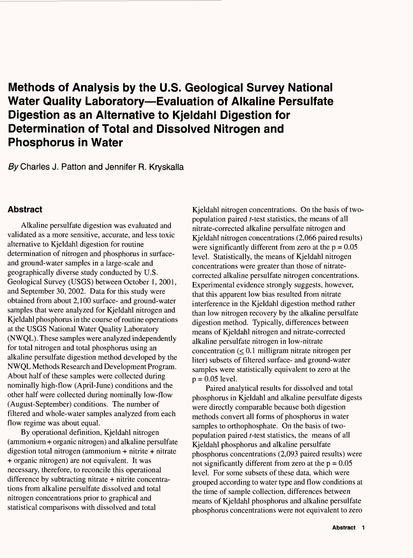# **Methods of Analysis by the U.S. Geological Survey National Water Quality Laboratory—Evaluation of Alkaline Persulfate Digestion as an Alternative to Kjeldahl Digestion for Determination of Total and Dissolved Nitrogen and Phosphorus in Water**

By Charles J. Patton and Jennifer R. Kryskalla

# **Abstract**

Alkaline persulfate digestion was evaluated and validated as a more sensitive, accurate, and less toxic alternative to Kjeldahl digestion for routine determination of nitrogen and phosphorus in surfaceand ground-water samples in a large-scale and geographically diverse study conducted by U.S. Geological Survey (USGS) between October 1, 2001, and September 30, 2002. Data for this study were obtained from about 2,100 surface- and ground-water samples that were analyzed for Kjeldahl nitrogen and Kjeldahl phosphorus in the course of routine operations at the USGS National Water Quality Laboratory (NWQL). These samples were analyzed independently for total nitrogen and total phosphorus using an alkaline persulfate digestion method developed by the NWQL Methods Research and Development Program. About half of these samples were collected during nominally high-flow (April-June) conditions and the other half were collected during nominally low-flow (August-September) conditions. The number of filtered and whole-water samples analyzed from each flow regime was about equal.

By operational definition, Kjeldahl nitrogen (ammonium + organic nitrogen) and alkaline persulfate digestion total nitrogen (ammonium + nitrite + nitrate + organic nitrogen) are not equivalent. It was necessary, therefore, to reconcile this operational difference by subtracting nitrate + nitrite concentrations from alkaline persulfate dissolved and total nitrogen concentrations prior to graphical and statistical comparisons with dissolved and total

Kjeldahl nitrogen concentrations. On the basis of twopopulation paired r-test statistics, the means of all nitrate-corrected alkaline persulfate nitrogen and Kjeldahl nitrogen concentrations (2,066 paired results) were significantly different from zero at the  $p = 0.05$ level. Statistically, the means of Kjeldahl nitrogen concentrations were greater than those of nitratecorrected alkaline persulfate nitrogen concentrations. Experimental evidence strongly suggests, however, that this apparent low bias resulted from nitrate interference in the Kjeldahl digestion method rather than low nitrogen recovery by the alkaline persulfate digestion method. Typically, differences between means of Kjeldahl nitrogen and nitrate-corrected alkaline persulfate nitrogen in low-nitrate concentration  $( \leq 0.1 \text{ milligram nitrate nitrogen per})$ liter) subsets of filtered surface- and ground-water samples were statistically equivalent to zero at the  $p = 0.05$  level.

Paired analytical results for dissolved and total phosphorus in Kjeldahl and alkaline persulfate digests were directly comparable because both digestion methods convert all forms of phosphorus in water samples to orthophosphate. On the basis of twopopulation paired r-test statistics, the means of all Kjeldahl phosphorus and alkaline persulfate phosphorus concentrations (2,093 paired results) were not significantly different from zero at the  $p = 0.05$ level. For some subsets of these data, which were grouped according to water type and flow conditions at the time of sample collection, differences between means of Kjeldahl phosphorus and alkaline persulfate phosphorus concentrations were not equivalent to zero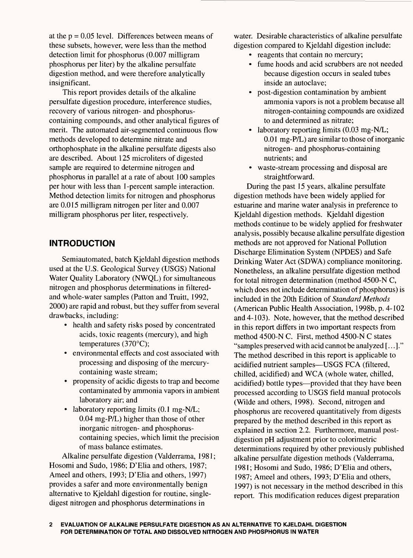at the  $p = 0.05$  level. Differences between means of these subsets, however, were less than the method detection limit for phosphorus (0.007 milligram phosphorus per liter) by the alkaline persulfate digestion method, and were therefore analytically insignificant.

This report provides details of the alkaline persulfate digestion procedure, interference studies, recovery of various nitrogen- and phosphoruscontaining compounds, and other analytical figures of merit. The automated air-segmented continuous flow methods developed to determine nitrate and orthophosphate in the alkaline persulfate digests also are described. About 125 microliters of digested sample are required to determine nitrogen and phosphorus in parallel at a rate of about 100 samples per hour with less than 1-percent sample interaction. Method detection limits for nitrogen and phosphorus are 0.015 milligram nitrogen per liter and 0.007 milligram phosphorus per liter, respectively.

# **INTRODUCTION**

Semiautomated, batch Kjeldahl digestion methods used at the U.S. Geological Survey (USGS) National Water Quality Laboratory (NWQL) for simultaneous nitrogen and phosphorus determinations in filteredand whole-water samples (Patton and Truitt, 1992, 2000) are rapid and robust, but they suffer from several drawbacks, including:

- health and safety risks posed by concentrated acids, toxic reagents (mercury), and high temperatures (370°C);
- environmental effects and cost associated with processing and disposing of the mercurycontaining waste stream;
- propensity of acidic digests to trap and become contaminated by ammonia vapors in ambient laboratory air; and
- laboratory reporting limits (0.1 mg-N/L; 0.04 mg-P/L) higher than those of other inorganic nitrogen- and phosphoruscontaining species, which limit the precision of mass balance estimates.

Alkaline persulfate digestion (Valderrama, 1981; Hosomi and Sudo, 1986; D'Elia and others, 1987; Ameel and others, 1993; D'Elia and others, 1997) provides a safer and more environmentally benign alternative to Kjeldahl digestion for routine, singledigest nitrogen and phosphorus determinations in

water. Desirable characteristics of alkaline persulfate digestion compared to Kjeldahl digestion include:

- reagents that contain no mercury;
- fume hoods and acid scrubbers are not needed because digestion occurs in sealed tubes inside an autoclave;
- post-digestion contamination by ambient ammonia vapors is not a problem because all nitrogen-containing compounds are oxidized to and determined as nitrate;
- laboratory reporting limits (0.03 mg-N/L; 0.01 mg-P/L) are similar to those of inorganic nitrogen- and phosphorus-containing nutrients; and
- waste-stream processing and disposal are straightforward.

During the past 15 years, alkaline persulfate digestion methods have been widely applied for estuarine and marine water analysis in preference to Kjeldahl digestion methods. Kjeldahl digestion methods continue to be widely applied for freshwater analysis, possibly because alkaline persulfate digestion methods are not approved for National Pollution Discharge Elimination System (NPDES) and Safe Drinking Water Act (SDWA) compliance monitoring. Nonetheless, an alkaline persulfate digestion method for total nitrogen determination (method 4500-N C, which does not include determination of phosphorus) is included in the 20th Edition of *Standard Methods*  (American Public Health Association, 1998b, p. 4-102 and 4-103). Note, however, that the method described in this report differs in two important respects from method 4500-N C. First, method 4500-N C states "samples preserved with acid cannot be analyzed [...]." The method described in this report is applicable to acidified nutrient samples—USGS FCA (filtered, chilled, acidified) and WCA (whole water, chilled, acidified) bottle types—provided that they have been processed according to USGS field manual protocols (Wilde and others, 1998). Second, nitrogen and phosphorus are recovered quantitatively from digests prepared by the method described in this report as explained in section 2.2. Furthermore, manual postdigestion pH adjustment prior to colorimetric determinations required by other previously published alkaline persulfate digestion methods (Valderrama, 1981; Hosomi and Sudo, 1986; D'Elia and others, 1987; Ameel and others, 1993; D'Elia and others, 1997) is not necessary in the method described in this report. This modification reduces digest preparation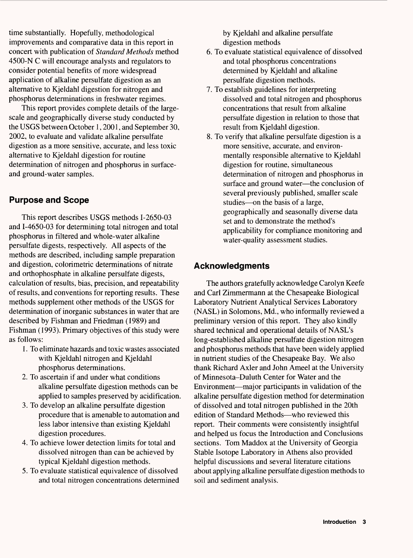time substantially. Hopefully, methodological improvements and comparative data in this report in concert with publication of *Standard Methods* method 4500-N C will encourage analysts and regulators to consider potential benefits of more widespread application of alkaline persulfate digestion as an alternative to Kjeldahl digestion for nitrogen and phosphorus determinations in freshwater regimes.

This report provides complete details of the largescale and geographically diverse study conducted by the USGS between October 1,2001, and September 30, 2002, to evaluate and validate alkaline persulfate digestion as a more sensitive, accurate, and less toxic alternative to Kjeldahl digestion for routine determination of nitrogen and phosphorus in surfaceand ground-water samples.

# **Purpose and Scope**

This report describes USGS methods 1-2650-03 and 1-4650-03 for determining total nitrogen and total phosphorus in filtered and whole-water alkaline persulfate digests, respectively. All aspects of the methods are described, including sample preparation and digestion, colorimetric determinations of nitrate and orthophosphate in alkaline persulfate digests, calculation of results, bias, precision, and repeatability of results, and conventions for reporting results. These methods supplement other methods of the USGS for determination of inorganic substances in water that are described by Fishman and Friedman (1989) and Fishman (1993). Primary objectives of this study were as follows:

- 1. To eliminate hazards and toxic wastes associated with Kjeldahl nitrogen and Kjeldahl phosphorus determinations.
- 2. To ascertain if and under what conditions alkaline persulfate digestion methods can be applied to samples preserved by acidification.
- 3. To develop an alkaline persulfate digestion procedure that is amenable to automation and less labor intensive than existing Kjeldahl digestion procedures.
- 4. To achieve lower detection limits for total and dissolved nitrogen than can be achieved by typical Kjeldahl digestion methods.
- 5. To evaluate statistical equivalence of dissolved and total nitrogen concentrations determined

by Kjeldahl and alkaline persulfate digestion methods

- 6. To evaluate statistical equivalence of dissolved and total phosphorus concentrations determined by Kjeldahl and alkaline persulfate digestion methods.
- 7. To establish guidelines for interpreting dissolved and total nitrogen and phosphorus concentrations that result from alkaline persulfate digestion in relation to those that result from Kjeldahl digestion.
- 8. To verify that alkaline persulfate digestion is a more sensitive, accurate, and environmentally responsible alternative to Kjeldahl digestion for routine, simultaneous determination of nitrogen and phosphorus in surface and ground water—the conclusion of several previously published, smaller scale studies—on the basis of a large, geographically and seasonally diverse data set and to demonstrate the method's applicability for compliance monitoring and water-quality assessment studies.

# **Acknowledgments**

The authors gratefully acknowledge Carolyn Keefe and Carl Zimmermann at the Chesapeake Biological Laboratory Nutrient Analytical Services Laboratory (NASL) in Solomons, Md., who informally reviewed a preliminary version of this report. They also kindly shared technical and operational details of NASL's long-established alkaline persulfate digestion nitrogen and phosphorus methods that have been widely applied in nutrient studies of the Chesapeake Bay. We also thank Richard Axler and John Ameel at the University of Minnesota-Duluth Center for Water and the Environment—major participants in validation of the alkaline persulfate digestion method for determination of dissolved and total nitrogen published in the 20th edition of Standard Methods—who reviewed this report. Their comments were consistently insightful and helped us focus the Introduction and Conclusions sections. Tom Maddox at the University of Georgia Stable Isotope Laboratory in Athens also provided helpful discussions and several literature citations about applying alkaline persulfate digestion methods to soil and sediment analysis.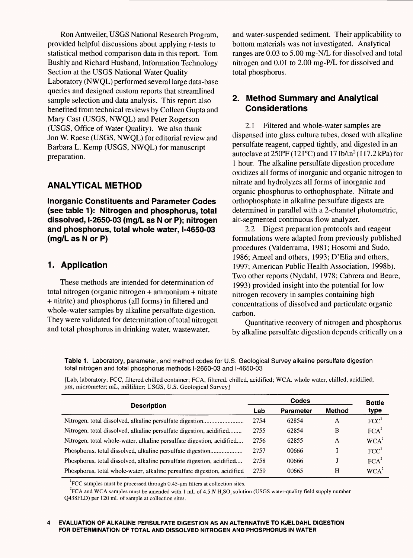Ron Antweiler, USGS National Research Program, provided helpful discussions about applying r-tests to statistical method comparison data in this report. Tom Bushly and Richard Husband, Information Technology Section at the USGS National Water Quality Laboratory (NWQL) performed several large data-base queries and designed custom reports that streamlined sample selection and data analysis. This report also benefited from technical reviews by Colleen Gupta and Mary Cast (USGS, NWQL) and Peter Rogerson (USGS, Office of Water Quality). We also thank Jon W. Raese (USGS, NWQL) for editorial review and Barbara L. Kemp (USGS, NWQL) for manuscript preparation.

# **ANALYTICAL METHOD**

**Inorganic Constituents and Parameter Codes (see table 1): Nitrogen and phosphorus, total dissolved, I-2650-03 (mg/L as N or P); nitrogen and phosphorus, total whole water, I-4650-03 (mg/L as N or P)**

# **1. Application**

These methods are intended for determination of total nitrogen (organic nitrogen + ammonium + nitrate + nitrite) and phosphorus (all forms) in filtered and whole-water samples by alkaline persulfate digestion. They were validated for determination of total nitrogen and total phosphorus in drinking water, wastewater,

and water-suspended sediment. Their applicability to bottom materials was not investigated. Analytical ranges are 0.03 to 5.00 mg-N/L for dissolved and total nitrogen and 0.01 to 2.00 mg-P/L for dissolved and total phosphorus.

# **2. Method Summary and Analytical Considerations**

2.1 Filtered and whole-water samples are dispensed into glass culture tubes, dosed with alkaline persulfate reagent, capped tightly, and digested in an autoclave at  $250^{\circ}F(121^{\circ}C)$  and  $171b/in^2(117.2 kPa)$  for 1 hour. The alkaline persulfate digestion procedure oxidizes all forms of inorganic and organic nitrogen to nitrate and hydrolyzes all forms of inorganic and organic phosphorus to orthophosphate. Nitrate and orthophosphate in alkaline persulfate digests are determined in parallel with a 2-channel photometric, air-segmented continuous flow analyzer.

2.2 Digest preparation protocols and reagent formulations were adapted from previously published procedures (Valderrama, 1981; Hosomi and Sudo, 1986; Ameel and others, 1993; D'Elia and others, 1997; American Public Health Association, 1998b). Two other reports (Nydahl, 1978; Cabrera and Beare, 1993) provided insight into the potential for low nitrogen recovery in samples containing high concentrations of dissolved and particulate organic carbon.

Quantitative recovery of nitrogen and phosphorus by alkaline persulfate digestion depends critically on a

**Table 1.** Laboratory, parameter, and method codes for U.S. Geological Survey alkaline persulfate digestion total nitrogen and total phosphorus methods I-2650-03 and I-4650-03

[Lab, laboratory; FCC, filtered chilled container; FCA, filtered, chilled, acidified; WCA, whole water, chilled, acidified; um, micrometer; mL, milliliter; USGS, U.S. Geological Survey]

| <b>Description</b>                                                      |      | <b>Codes</b>     |        |                       |
|-------------------------------------------------------------------------|------|------------------|--------|-----------------------|
|                                                                         |      | <b>Parameter</b> | Method | <b>Bottle</b><br>type |
| Nitrogen, total dissolved, alkaline persulfate digestion                | 2754 | 62854            | A      | FCC <sup>1</sup>      |
| Nitrogen, total dissolved, alkaline persulfate digestion, acidified     | 2755 | 62854            | B      | FCA <sup>2</sup>      |
| Nitrogen, total whole-water, alkaline persulfate digestion, acidified   | 2756 | 62855            | A      | $WCA^2$               |
| Phosphorus, total dissolved, alkaline persulfate digestion              | 2757 | 00666            |        | FCC <sup>1</sup>      |
| Phosphorus, total dissolved, alkaline persulfate digestion, acidified   | 2758 | 00666            |        | $FCA^2$               |
| Phosphorus, total whole-water, alkaline persulfate digestion, acidified | 2759 | 00665            | н      | WCA <sup>2</sup>      |

FCC samples must be processed through 0.45-um filters at collection sites.

 ${}^{2}$ FCA and WCA samples must be amended with 1 mL of 4.5 N H<sub>2</sub>SO<sub>4</sub> solution (USGS water-quality field supply number Q438FLD) per 120 mL of sample at collection sites.

#### **EVALUATION OF ALKALINE PERSULFATE DIGESTION AS AN ALTERNATIVE TO KJELDAHL DIGESTION FOR DETERMINATION OF TOTAL AND DISSOLVED NITROGEN AND PHOSPHORUS IN WATER**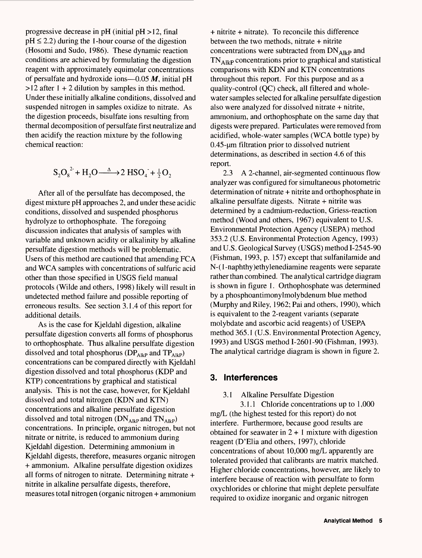progressive decrease in pH (initial pH >12, final  $pH \leq 2.2$ ) during the 1-hour course of the digestion (Hosomi and Sudo, 1986). These dynamic reaction conditions are achieved by formulating the digestion reagent with approximately equimolar concentrations of persulfate and hydroxide ions—0.05  $M$ , initial pH  $>12$  after 1 + 2 dilution by samples in this method. Under these initially alkaline conditions, dissolved and suspended nitrogen in samples oxidize to nitrate. As the digestion proceeds, bisulfate ions resulting from thermal decomposition of persulfate first neutralize and then acidify the reaction mixture by the following chemical reaction:

$$
S_2O_8^2 + H_2O \xrightarrow{\Delta} 2 HSO_4 + \frac{1}{2}O_2
$$

After all of the persulfate has decomposed, the digest mixture pH approaches 2, and under these acidic conditions, dissolved and suspended phosphorus hydrolyze to orthophosphate. The foregoing discussion indicates that analysis of samples with variable and unknown acidity or alkalinity by alkaline persulfate digestion methods will be problematic. Users of this method are cautioned that amending FCA and WCA samples with concentrations of sulfuric acid other than those specified in USGS field manual protocols (Wilde and others, 1998) likely will result in undetected method failure and possible reporting of erroneous results. See section 3.1.4 of this report for additional details.

As is the case for Kjeldahl digestion, alkaline persulfate digestion converts all forms of phosphorus to orthophosphate. Thus alkaline persulfate digestion dissolved and total phosphorus ( $DP<sub>AlkP</sub>$  and  $TP<sub>AlkP</sub>$ ) concentrations can be compared directly with Kjeldahl digestion dissolved and total phosphorus (KDP and KTP) concentrations by graphical and statistical analysis. This is not the case, however, for Kjeldahl dissolved and total nitrogen (KDN and KTN) concentrations and alkaline persulfate digestion dissolved and total nitrogen ( $DN<sub>AlkP</sub>$  and  $TN<sub>AlkP</sub>$ ) concentrations. In principle, organic nitrogen, but not nitrate or nitrite, is reduced to ammonium during Kjeldahl digestion. Determining ammonium in Kjeldahl digests, therefore, measures organic nitrogen + ammonium. Alkaline persulfate digestion oxidizes all forms of nitrogen to nitrate. Determining nitrate + nitrite in alkaline persulfate digests, therefore, measures total nitrogen (organic nitrogen + ammonium

+ nitrite + nitrate). To reconcile this difference between the two methods, nitrate + nitrite concentrations were subtracted from  $DN<sub>AlkP</sub>$  and  $TN<sub>AlkP</sub>$  concentrations prior to graphical and statistical comparisons with KDN and KTN concentrations throughout this report. For this purpose and as a quality-control (QC) check, all filtered and wholewater samples selected for alkaline persulfate digestion also were analyzed for dissolved nitrate + nitrite, ammonium, and orthophosphate on the same day that digests were prepared. Particulates were removed from acidified, whole-water samples (WCA bottle type) by  $0.45$ - $\mu$ m filtration prior to dissolved nutrient determinations, as described in section 4.6 of this report.

2.3 A 2-channel, air-segmented continuous flow analyzer was configured for simultaneous photometric determination of nitrate + nitrite and orthophosphate in alkaline persulfate digests. Nitrate + nitrite was determined by a cadmium-reduction, Griess-reaction method (Wood and others, 1967) equivalent to U.S. Environmental Protection Agency (USEPA) method 353.2 (U.S. Environmental Protection Agency, 1993) and U.S. Geological Survey (USGS) method 1-2545-90 (Fishman, 1993, p. 157) except that sulfanilamide and N-(l-naphthy)ethylenediamine reagents were separate rather than combined. The analytical cartridge diagram is shown in figure 1. Orthophosphate was determined by a phosphoantimonylmolybdenum blue method (Murphy and Riley, 1962; Pai and others, 1990), which is equivalent to the 2-reagent variants (separate molybdate and ascorbic acid reagents) of USEPA method 365.1 (U.S. Environmental Protection Agency, 1993) and USGS method 1-2601-90 (Fishman, 1993). The analytical cartridge diagram is shown in figure 2.

### **3. Interferences**

3.1 Alkaline Persulfate Digestion

3.1.1 Chloride concentrations up to 1,000 mg/L (the highest tested for this report) do not interfere. Furthermore, because good results are obtained for seawater in  $2 + 1$  mixture with digestion reagent (D'Elia and others, 1997), chloride concentrations of about 10,000 mg/L apparently are tolerated provided that calibrants are matrix matched. Higher chloride concentrations, however, are likely to interfere because of reaction with persulfate to form oxychlorides or chlorine that might deplete persulfate required to oxidize inorganic and organic nitrogen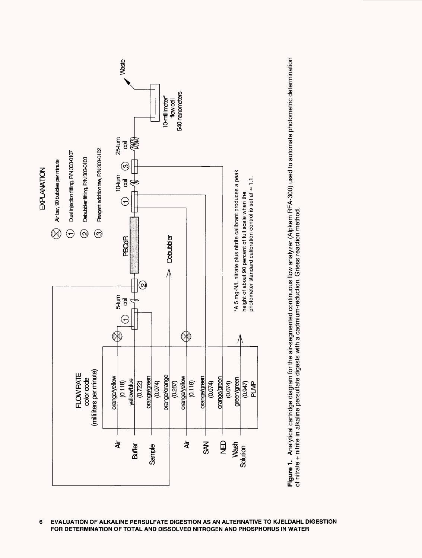

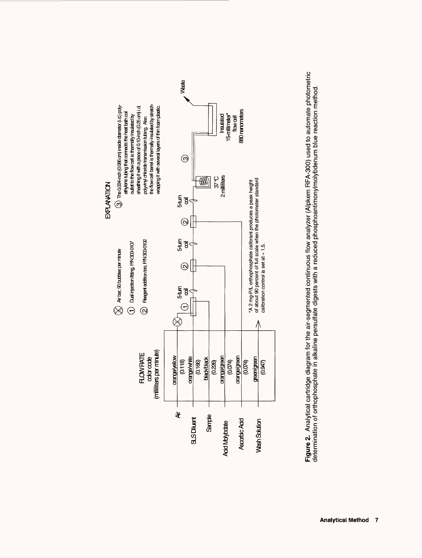

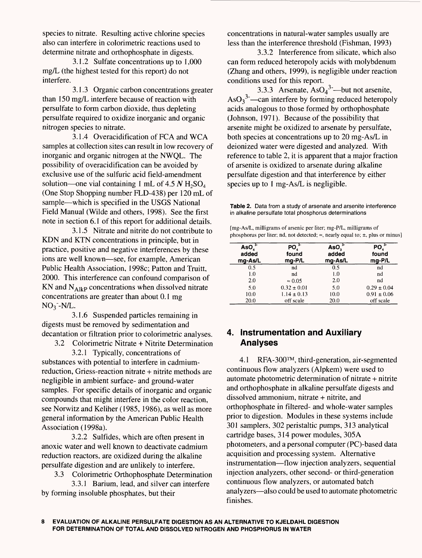species to nitrate. Resulting active chlorine species also can interfere in colorimetric reactions used to determine nitrate and orthophosphate in digests.

3.1.2 Sulfate concentrations up to 1,000 mg/L (the highest tested for this report) do not interfere.

3.1.3 Organic carbon concentrations greater than 150 mg/L interfere because of reaction with persulfate to form carbon dioxide, thus depleting persulfate required to oxidize inorganic and organic nitrogen species to nitrate.

3.1.4 Overacidification of FCA and WCA samples at collection sites can result in low recovery of inorganic and organic nitrogen at the NWQL. The possibility of Overacidification can be avoided by exclusive use of the sulfuric acid field-amendment solution—one vial containing 1 mL of  $4.5 N H<sub>2</sub>SO<sub>4</sub>$ (One Stop Shopping number FLD-438) per 120 mL of sample—which is specified in the USGS National Field Manual (Wilde and others, 1998). See the first note in section 6.1 of this report for additional details.

3.1.5 Nitrate and nitrite do not contribute to KDN and KTN concentrations in principle, but in practice, positive and negative interferences by these ions are well known—see, for example, American Public Health Association, 1998c; Patton and Truitt, 2000. This interference can confound comparison of KN and  $N_{AlkP}$  concentrations when dissolved nitrate concentrations are greater than about 0.1 mg  $NO<sub>3</sub> - N/L$ .

3.1.6 Suspended particles remaining in digests must be removed by sedimentation and decantation or filtration prior to colorimetric analyses.

3.2 Colorimetric Nitrate + Nitrite Determination 3.2.1 Typically, concentrations of substances with potential to interfere in cadmiumreduction, Griess-reaction nitrate + nitrite methods are negligible in ambient surface- and ground-water samples. For specific details of inorganic and organic compounds that might interfere in the color reaction, see Norwitz and Keliher (1985, 1986), as well as more general information by the American Public Health Association (1998a).

3.2.2 Sulfides, which are often present in anoxic water and well known to deactivate cadmium reduction reactors, are oxidized during the alkaline persulfate digestion and are unlikely to interfere.

3.3 Colorimetric Orthophosphate Determination

3.3.1 Barium, lead, and silver can interfere by forming insoluble phosphates, but their

concentrations in natural-water samples usually are less than the interference threshold (Fishman, 1993)

3.3.2 Interference from silicate, which also can form reduced heteropoly acids with molybdenum (Zhang and others, 1999), is negligible under reaction conditions used for this report.

3.3.3 Arsenate,  $AsO<sub>4</sub><sup>3</sup>$  —but not arsenite,  $AsO<sub>3</sub><sup>3</sup>$ —can interfere by forming reduced heteropoly acids analogous to those formed by orthophosphate (Johnson, 1971). Because of the possibility that arsenite might be oxidized to arsenate by persulfate, both species at concentrations up to 20 mg-As/L in deionized water were digested and analyzed. With reference to table 2, it is apparent that a major fraction of arsenite is oxidized to arsenate during alkaline persulfate digestion and that interference by either species up to 1 mg-As/L is negligible.

**Table 2.** Data from a study of arsenate and arsenite interference in alkaline persulfate total phosphorus determinations

| [mg-As/L, milligrams of arsenic per liter; mg-P/L, milligrams of                            |
|---------------------------------------------------------------------------------------------|
| phosphorus per liter; nd, not detected; $\approx$ , nearly equal to; $\pm$ , plus or minus] |

| AsO <sub>4</sub> <sup>3</sup><br>added<br>mg-As/L | $\overline{PO_{4}}^{3}$<br>found<br>mg-P/L | $\overline{\text{AsO}_3}^3$<br>added<br>mg-As/L | PO <sub>4</sub> <sup>3</sup><br>found<br>mg-P/L |
|---------------------------------------------------|--------------------------------------------|-------------------------------------------------|-------------------------------------------------|
| 0.5                                               | nd                                         | 0.5                                             | nd                                              |
| 1.0                                               | nd                                         | 1.0                                             | nd                                              |
| 2.0                                               | $\approx 0.05$                             | 2.0                                             | nd                                              |
| 5.0                                               | $0.32 \pm 0.01$                            | 5.0                                             | $0.29 \pm 0.04$                                 |
| 10.0                                              | $1.14 \pm 0.13$                            | 10.0                                            | $0.91 \pm 0.06$                                 |
| 20.0                                              | off scale                                  | 20.0                                            | off scale                                       |

# **4. Instrumentation and Auxiliary Analyses**

4.1 RFA-300™, third-generation, air-segmented continuous flow analyzers (Alpkem) were used to automate photometric determination of nitrate + nitrite and orthophosphate in alkaline persulfate digests and dissolved ammonium, nitrate + nitrite, and orthophosphate in filtered- and whole-water samples prior to digestion. Modules in these systems include 301 samplers, 302 peristaltic pumps, 313 analytical cartridge bases, 314 power modules, 305A photometers, and a personal computer (PC)-based data acquisition and processing system. Alternative instrumentation—flow injection analyzers, sequential injection analyzers, other second- or third-generation continuous flow analyzers, or automated batch analyzers—also could be used to automate photometric finishes.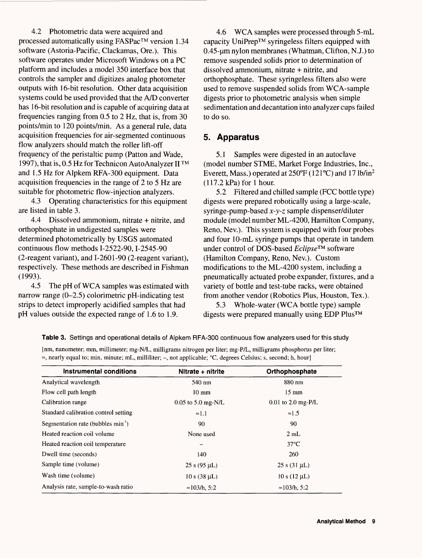4.2 Photometric data were acquired and processed automatically using FASPac™ version 1.34 software (Astoria-Pacific, Clackamas, Ore.). This software operates under Microsoft Windows on a PC platform and includes a model 350 interface box that controls the sampler and digitizes analog photometer outputs with 16-bit resolution. Other data acquisition systems could be used provided that the A/D converter has 16-bit resolution and is capable of acquiring data at frequencies ranging from 0.5 to 2 Hz, that is, from 30 points/min to 120 points/min. As a general rule, data acquisition frequencies for air-segmented continuous flow analyzers should match the roller lift-off frequency of the peristaltic pump (Patton and Wade, 1997), that is, 0.5 Hz for Technicon AutoAnalyzer II ™ and 1.5 Hz for Alpkem RFA-300 equipment. Data acquisition frequencies in the range of 2 to 5 Hz are suitable for photometric flow-injection analyzers.

4.3 Operating characteristics for this equipment are listed in table 3.

4.4 Dissolved ammonium, nitrate + nitrite, and orthophosphate in undigested samples were determined photometrically by USGS automated continuous flow methods I-2522-90, I-2545-90 (2-reagent variant), and 1-2601-90 (2-reagent variant), respectively. These methods are described in Fishman (1993).

4.5 The pH of WCA samples was estimated with narrow range (0-2.5) colorimetric pH-indicating test strips to detect improperly acidified samples that had pH values outside the expected range of 1.6 to 1.9.

4.6 WCA samples were processed through 5-mL capacity UniPrep™ syringeless filters equipped with 0.45-um nylon membranes (Whatman, Clifton, N.J.) to remove suspended solids prior to determination of dissolved ammonium, nitrate + nitrite, and orthophosphate. These syringeless filters also were used to remove suspended solids from WCA-sample digests prior to photometric analysis when simple sedimentation and decantation into analyzer cups failed to do so.

# **5. Apparatus**

5.1 Samples were digested in an autoclave (model number STME, Market Forge Industries, Inc., Everett, Mass.) operated at 250°F (121°C) and 17 lb/in2 (117.2 kPa) for 1 hour.

5.2 Filtered and chilled sample (FCC bottle type) digests were prepared robotically using a large-scale, syringe-pump-based *x-y-z* sample dispenser/diluter module (model number ML-4200, Hamilton Company, Reno, Nev.). This system is equipped with four probes and four 10-mL syringe pumps that operate in tandem under control of DOS-based *Eclipse™* software (Hamilton Company, Reno, Nev.). Custom modifications to the ML-4200 system, including a pneumatically actuated probe expander, fixtures, and a variety of bottle and test-tube racks, were obtained from another vendor (Robotics Plus, Houston, Tex.).

5.3 Whole-water (WCA bottle type) sample digests were prepared manually using EDP Plus™

**Table 3.** Settings and operational details of Alpkem RFA-300 continuous flow analyzers used for this study

[nm, nanometer; mm, millimeter; mg-N/L, milligrams nitrogen per liter; mg-P/L, milligrams phosphorus per liter;  $\approx$ , nearly equal to; min, minute; mL, milliliter;  $\sim$ , not applicable; °C, degrees Celsius; s, second; h, hour]

| Instrumental conditions              | Nitrate + nitrite    | Orthophosphate       |
|--------------------------------------|----------------------|----------------------|
| Analytical wavelength                | 540 nm               | 880 nm               |
| Flow cell path length                | $10 \text{ mm}$      | $15 \text{ mm}$      |
| Calibration range                    | $0.05$ to 5.0 mg-N/L | $0.01$ to 2.0 mg-P/L |
| Standard calibration control setting | $\approx 1.1$        | $\approx 1.5$        |
| Segmentation rate (bubbles $min-1$ ) | 90                   | 90                   |
| Heated reaction coil volume          | None used            | 2 mL                 |
| Heated reaction coil temperature     |                      | $37^{\circ}$ C       |
| Dwell time (seconds)                 | 140                  | 260                  |
| Sample time (volume)                 | $25 s (95 \mu L)$    | $25 s (31 \mu L)$    |
| Wash time (volume)                   | $10 s (38 \mu L)$    | $10 s (12 \mu L)$    |
| Analysis rate, sample-to-wash ratio  | $\approx$ 103/h, 5:2 | $\approx$ 103/h, 5:2 |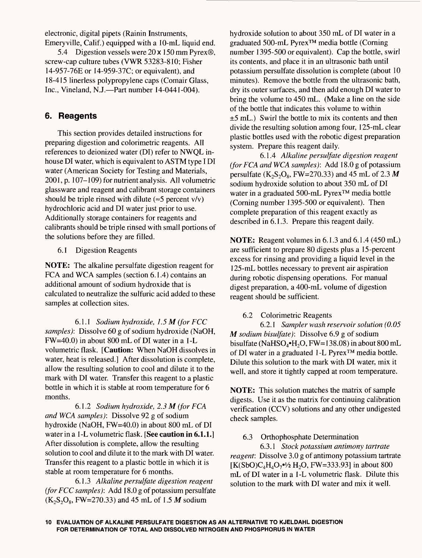electronic, digital pipets (Rainin Instruments, Emeryville, Calif.) equipped with a 10-mL liquid end.

5.4 Digestion vessels were 20 x 150 mm Pyrex®, screw-cap culture tubes (VWR 53283-810; Fisher 14-957-76E or 14-959-37C; or equivalent), and 18-415 linerless polypropylene caps (Comair Glass, Inc., Vineland, N.J.—Part number 14-0441-004).

# **6. Reagents**

This section provides detailed instructions for preparing digestion and colorimetric reagents. All references to deionized water (DI) refer to NWQL inhouse DI water, which is equivalent to ASTM type I DI water (American Society for Testing and Materials, 2001, p. 107-109) for nutrient analysis. All volumetric glassware and reagent and calibrant storage containers should be triple rinsed with dilute ( $\approx$ 5 percent v/v) hydrochloric acid and DI water just prior to use. Additionally storage containers for reagents and calibrants should be triple rinsed with small portions of the solutions before they are filled.

6.1 Digestion Reagents

NOTE: The alkaline persulfate digestion reagent for FCA and WCA samples (section 6.1.4) contains an additional amount of sodium hydroxide that is calculated to neutralize the sulfuric acid added to these samples at collection sites.

6.1.1 *Sodium hydroxide, 1.5 M (for FCC samples):* Dissolve 60 g of sodium hydroxide (NaOH, FW=40.0) in about 800 mL of DI water in a 1-L volumetric flask. [Caution: When NaOH dissolves in water, heat is released.] After dissolution is complete, allow the resulting solution to cool and dilute it to the mark with DI water. Transfer this reagent to a plastic bottle in which it is stable at room temperature for 6 months.

6.1.2 *Sodium hydroxide, 2.3 M (for FCA and WCA samples):* Dissolve 92 g of sodium hydroxide (NaOH, FW=40.0) in about 800 mL of DI water in a 1-L volumetric flask. [See caution in 6.1.1.] After dissolution is complete, allow the resulting solution to cool and dilute it to the mark with DI water. Transfer this reagent to a plastic bottle in which it is stable at room temperature for 6 months.

6.1.3 *Alkaline persulfate digestion reagent (for FCC samples):* Add 18.0 g of potassium persulfate  $(K_2S_2O_8, FW=270.33)$  and 45 mL of 1.5 M sodium

hydroxide solution to about 350 mL of DI water in a graduated 500-mL Pyrex™ media bottle (Corning number 1395-500 or equivalent). Cap the bottle, swirl its contents, and place it in an ultrasonic bath until potassium persulfate dissolution is complete (about 10 minutes). Remove the bottle from the ultrasonic bath, dry its outer surfaces, and then add enough DI water to bring the volume to 450 mL. (Make a line on the side of the bottle that indicates this volume to within  $\pm$ 5 mL.) Swirl the bottle to mix its contents and then divide the resulting solution among four, 125-mL clear plastic bottles used with the robotic digest preparation system. Prepare this reagent daily.

6.1.4 *Alkaline persulfate digestion reagent (for FCA and WCA samples):* Add 18.0 g of potassium persulfate  $(K_2S_2O_8, FW=270.33)$  and 45 mL of 2.3 M sodium hydroxide solution to about 350 mL of DI water in a graduated 500-mL Pyrex™ media bottle (Corning number 1395-500 or equivalent). Then complete preparation of this reagent exactly as described in 6.1.3. Prepare this reagent daily.

NOTE: Reagent volumes in 6.1.3 and 6.1.4 (450 mL) are sufficient to prepare 80 digests plus a 15-percent excess for rinsing and providing a liquid level in the 125-mL bottles necessary to prevent air aspiration during robotic dispensing operations. For manual digest preparation, a 400-mL volume of digestion reagent should be sufficient.

6.2 Colorimetric Reagents

6.2.1 *Sampler wash reservoir solution (0.05 M sodium bisulfate):* Dissolve 6.9 g of sodium bisulfate (NaHSO<sub>4</sub> $\cdot$ H<sub>2</sub>O, FW=138.08) in about 800 mL of DI water in a graduated 1-L Pyrex™ media bottle. Dilute this solution to the mark with DI water, mix it well, and store it tightly capped at room temperature.

NOTE: This solution matches the matrix of sample digests. Use it as the matrix for continuing calibration verification (CCV) solutions and any other undigested check samples.

6.3 Orthophosphate Determination

6.3.1 *Stock potassium antimony tartrate reagent:* Dissolve 3.0 g of antimony potassium tartrate  $[K(SbO)C_4H_4O_7^{\bullet\frac{1}{2}}H_2O, FW=333.93]$  in about 800 mL of DI water in a 1-L volumetric flask. Dilute this solution to the mark with DI water and mix it well.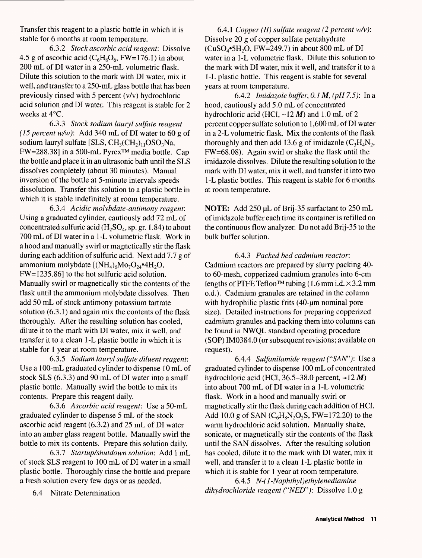Transfer this reagent to a plastic bottle in which it is stable for 6 months at room temperature.

6.3.2 *Stock ascorbic acid reagent:* Dissolve 4.5 g of ascorbic acid ( $C_6H_8O_6$ , FW=176.1) in about 200 mL of DI water in a 250-mL volumetric flask. Dilute this solution to the mark with DI water, mix it well, and transfer to a 250-mL glass bottle that has been previously rinsed with 5 percent (v/v) hydrochloric acid solution and DI water. This reagent is stable for 2 weeks at 4°C.

6.3.3 *Stock sodium lauryl sulfate reagent (15 percent w/w):* Add 340 mL of DI water to 60 g of sodium lauryl sulfate [SLS,  $CH<sub>3</sub>(CH<sub>2</sub>)<sub>11</sub>OSO<sub>3</sub>Na$ , FW=288.38] in a 500-mL Pyrex™ media bottle. Cap the bottle and place it in an ultrasonic bath until the SLS dissolves completely (about 30 minutes). Manual inversion of the bottle at 5-minute intervals speeds dissolution. Transfer this solution to a plastic bottle in which it is stable indefinitely at room temperature.

6.3.4 *Acidic molybdate-antimony reagent:*  Using a graduated cylinder, cautiously add 72 mL of concentrated sulfuric acid  $(H_2SO_4, sp. gr. 1.84)$  to about 700 mL of DI water in a 1 -L volumetric flask. Work in a hood and manually swirl or magnetically stir the flask during each addition of sulfuric acid. Next add 7.7 g of ammonium molybdate  $[(NH_4)_6Mo_7O_{24} \cdot 4H_2O,$ FW=1235.86] to the hot sulfuric acid solution. Manually swirl or magnetically stir the contents of the flask until the ammonium molybdate dissolves. Then add 50 mL of stock antimony potassium tartrate solution (6.3.1) and again mix the contents of the flask thoroughly. After the resulting solution has cooled, dilute it to the mark with DI water, mix it well, and transfer it to a clean 1-L plastic bottle in which it is stable for 1 year at room temperature.

6.3.5 *Sodium lauryl sulfate diluent reagent:*  Use a 100-mL graduated cylinder to dispense 10 mL of stock SLS (6.3.3) and 90 mL of DI water into a small plastic bottle. Manually swirl the bottle to mix its contents. Prepare this reagent daily.

6.3.6 *Ascorbic acid reagent:* Use a 50-mL graduated cylinder to dispense 5 mL of the stock ascorbic acid reagent (6.3.2) and 25 mL of DI water into an amber glass reagent bottle. Manually swirl the bottle to mix its contents. Prepare this solution daily.

6.3.7 *Startup/shutdown solution:* Add 1 mL of stock SLS reagent to 100 mL of DI water in a small plastic bottle. Thoroughly rinse the bottle and prepare a fresh solution every few days or as needed.

6.4 Nitrate Determination

6.4.1 *Copper (II) sulfate reagent (2 percent w/v):*  Dissolve 20 g of copper sulfate pentahydrate  $(CuSO<sub>4</sub>•5H<sub>2</sub>O, FW=249.7)$  in about 800 mL of DI water in a 1-L volumetric flask. Dilute this solution to the mark with DI water, mix it well, and transfer it to a 1-L plastic bottle. This reagent is stable for several years at room temperature.

6.4.2 *Imidazole buffer, 0.1M, (pH 7.5):* In a hood, cautiously add 5.0 mL of concentrated hydrochloric acid (HCl,  $\sim$ 12 *M*) and 1.0 mL of 2 percent copper sulfate solution to 1,600 mL of DI water in a 2-L volumetric flask. Mix the contents of the flask thoroughly and then add 13.6 g of imidazole  $(C_3H_4N_2$ , FW=68.08). Again swirl or shake the flask until the imidazole dissolves. Dilute the resulting solution to the mark with DI water, mix it well, and transfer it into two 1-L plastic bottles. This reagent is stable for 6 months at room temperature.

**NOTE:** Add 250 µL of Brij-35 surfactant to 250 mL of imidazole buffer each time its container is refilled on the continuous flow analyzer. Do not add Brij-35 to the bulk buffer solution.

6.4.3 *Packed bed cadmium reactor:*  Cadmium reactors are prepared by slurry packing 40 to 60-mesh, copperized cadmium granules into 6-cm lengths of PTFE Teflon<sup>TM</sup> tubing (1.6 mm i.d.  $\times$  3.2 mm o.d.). Cadmium granules are retained in the column with hydrophilic plastic frits  $(40-\mu m)$  nominal pore size). Detailed instructions for preparing copperized cadmium granules and packing them into columns can be found in NWQL standard operating procedure (SOP) IM0384.0 (or subsequent revisions; available on request).

6.4.4 *Sulfanilamide reagent ("SAN"):* Use a graduated cylinder to dispense 100 mL of concentrated hydrochloric acid (HCl, 36.5–38.0 percent,  $\approx$ 12 *M*) into about 700 mL of DI water in a 1-L volumetric flask. Work in a hood and manually swirl or magnetically stir the flask during each addition of HC1. Add 10.0 g of SAN  $(C_6H_8N_2O_2S, FW=172.20)$  to the warm hydrochloric acid solution. Manually shake, sonicate, or magnetically stir the contents of the flask until the SAN dissolves. After the resulting solution has cooled, dilute it to the mark with DI water, mix it well, and transfer it to a clean 1-L plastic bottle in which it is stable for 1 year at room temperature.

6.4.5 *N-(l-Naphthyl)ethylenediamine dihydrochloride reagent ("NED"):* Dissolve 1.0 g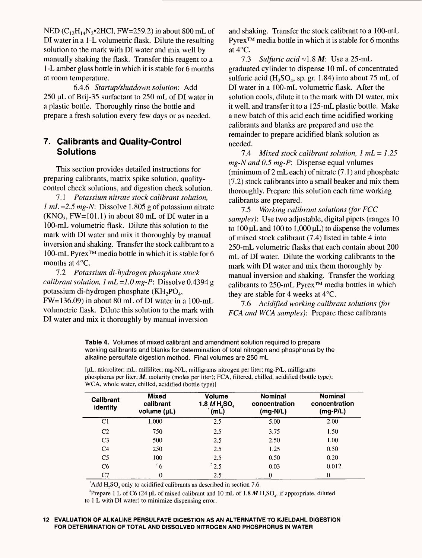NED ( $C_{12}H_{14}N_2$ •2HCl, FW=259.2) in about 800 mL of DI water in a 1-L volumetric flask. Dilute the resulting solution to the mark with DI water and mix well by manually shaking the flask. Transfer this reagent to a 1-L amber glass bottle in which it is stable for 6 months at room temperature.

6.4.6 *Startup/shutdown solution:* Add  $250 \mu L$  of Brij-35 surfactant to  $250 \mu L$  of DI water in a plastic bottle. Thoroughly rinse the bottle and prepare a fresh solution every few days or as needed.

# **7. Calibrants and Quality-Control Solutions**

This section provides detailed instructions for preparing calibrants, matrix spike solution, qualitycontrol check solutions, and digestion check solution.

7.1 *Potassium nitrate stock calibrant solution, 1 mL=2.5mg-N:* Dissolve 1.805 g of potassium nitrate  $(KNO<sub>3</sub>, FW=101.1)$  in about 80 mL of DI water in a 100-mL volumetric flask. Dilute this solution to the mark with DI water and mix it thoroughly by manual inversion and shaking. Transfer the stock calibrant to a 100-mL Pyrex™ media bottle in which it is stable for 6 months at 4°C.

7.2 *Potassium di-hydrogen phosphate stock calibrant solution, 1 mL =1.0mg-P:* Dissolve 0.4394 g potassium di-hydrogen phosphate  $(KH_2PO_4,$ 

FW= 136.09) in about 80 mL of DI water in a 100-mL volumetric flask. Dilute this solution to the mark with DI water and mix it thoroughly by manual inversion

and shaking. Transfer the stock calibrant to a 100-mL Pyrex™ media bottle in which it is stable for 6 months at 4°C.

7.3 *Sulfuric acid*  $\approx$ 1.8 *M*: Use a 25-mL graduated cylinder to dispense 10 mL of concentrated sulfuric acid ( $H_2SO_4$ , sp. gr. 1.84) into about 75 mL of DI water in a 100-mL volumetric flask. After the solution cools, dilute it to the mark with DI water, mix it well, and transfer it to a 125-mL plastic bottle. Make a new batch of this acid each time acidified working calibrants and blanks are prepared and use the remainder to prepare acidified blank solution as needed.

7.4 *Mixed stock calibrant solution, 1 mL = 1.25 mg-N and 0.5 mg-P:* Dispense equal volumes (minimum of 2 mL each) of nitrate (7.1) and phosphate (7.2) stock calibrants into a small beaker and mix them thoroughly. Prepare this solution each time working calibrants are prepared.

7.5 *Working calibrant solutions (for FCC samples):* Use two adjustable, digital pipets (ranges 10 to  $100 \mu L$  and  $100$  to  $1,000 \mu L$ ) to dispense the volumes of mixed stock calibrant (7.4) listed in table 4 into 250-mL volumetric flasks that each contain about 200 mL of DI water. Dilute the working calibrants to the mark with DI water and mix them thoroughly by manual inversion and shaking. Transfer the working calibrants to 250-mL Pyrex™ media bottles in which they are stable for 4 weeks at 4°C.

7.6 *Acidified working calibrant solutions (for FCA and WCA samples):* Prepare these calibrants

**Table 4.** Volumes of mixed calibrant and amendment solution required to prepare working calibrants and blanks for determination of total nitrogen and phosphorus by the alkaline persulfate digestion method. Final volumes are 250 mL

| Calibrant<br>identity | Mixed<br>calibrant<br>volume (µL) | <b>Volume</b><br>1.8 MH <sub>2</sub> SO <sub>4</sub><br>(mL) | <b>Nominal</b><br>concentration<br>$(mg-N/L)$ | <b>Nominal</b><br>concentration<br>$(mg-P/L)$ |
|-----------------------|-----------------------------------|--------------------------------------------------------------|-----------------------------------------------|-----------------------------------------------|
| C1                    | 1.000                             | 2.5                                                          | 5.00                                          | 2.00                                          |
| C <sub>2</sub>        | 750                               | 2.5                                                          | 3.75                                          | 1.50                                          |
| C <sub>3</sub>        | 500                               | 2.5                                                          | 2.50                                          | 1.00                                          |
| C <sub>4</sub>        | 250                               | 2.5                                                          | 1.25                                          | 0.50                                          |
| C <sub>5</sub>        | 100                               | 2.5                                                          | 0.50                                          | 0.20                                          |
| C <sub>6</sub>        | $\frac{2}{6}$                     | $^{2}$ 2.5                                                   | 0.03                                          | 0.012                                         |
| C7                    | $\boldsymbol{0}$                  | 2.5                                                          | $\bf{0}$                                      | 0                                             |

[uL, microliter; mL, milliliter; mg-N/L, milligrams nitrogen per liter; mg-P/L, milligrams phosphorus per liter; *M,* molarity (moles per liter); FCA, filtered, chilled, acidified (bottle type); WCA, whole water, chilled, acidified (bottle type)]

 $^1$ Add H<sub>2</sub>SO<sub>4</sub> only to acidified calibrants as described in section 7.6.

<sup>2</sup>Prepare 1 L of C6 (24 µL of mixed calibrant and 10 mL of 1.8 M H<sub>2</sub>SO<sub>1</sub>, if appropriate, diluted to 1 L with DI water) to minimize dispensing error.

#### **12 EVALUATION OF ALKALINE PERSULFATE DIGESTION AS AN ALTERNATIVE TO KJELDAHL DIGESTION FOR DETERMINATION OF TOTAL AND DISSOLVED NITROGEN AND PHOSPHORUS IN WATER**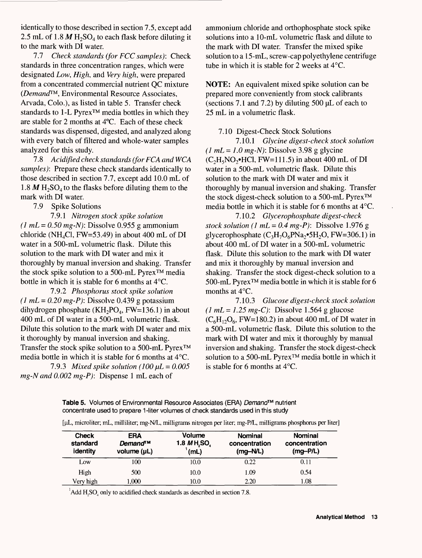identically to those described in section 7.5, except add 2.5 mL of 1.8  $M$  H<sub>2</sub>SO<sub>4</sub> to each flask before diluting it to the mark with DI water.

7.7 *Check standards (for FCC samples):* Check standards in three concentration ranges, which were designated *Low, High,* and *Very high,* were prepared from a concentrated commercial nutrient QC mixture *(Demand™,* Environmental Resource Associates, Arvada, Colo.), as listed in table 5. Transfer check standards to 1-L Pyrex<sup>™</sup> media bottles in which they are stable for 2 months at 4°C. Each of these check standards was dispensed, digested, and analyzed along with every batch of filtered and whole-water samples analyzed for this study.

7.8 *Acidified check standards (for FCA and WCA samples):* Prepare these check standards identically to those described in section 7.7, except add 10.0 mL of 1.8 M H<sub>2</sub>SO<sub>4</sub> to the flasks before diluting them to the mark with DI water.

7.9 Spike Solutions

7.9.1 *Nitrogen stock spike solution (1 mL = 0.50 mg-N):* Dissolve 0.955 g ammonium chloride (NH<sub>4</sub>Cl, FW=53.49) in about 400 mL of DI water in a 500-mL volumetric flask. Dilute this solution to the mark with DI water and mix it thoroughly by manual inversion and shaking. Transfer the stock spike solution to a 500-mL Pyrex™ media bottle in which it is stable for 6 months at 4°C.

7.9.2 *Phosphorus stock spike solution (1 mL = 0.20 mg-P):* Dissolve 0.439 g potassium dihydrogen phosphate  $(KH_2PO_4, FW=136.1)$  in about 400 mL of DI water in a 500-mL volumetric flask. Dilute this solution to the mark with DI water and mix it thoroughly by manual inversion and shaking. Transfer the stock spike solution to a 500-mL Pyrex™ media bottle in which it is stable for 6 months at 4°C.

7.9.3 *Mixed spike solution (100*  $\mu$ *L = 0.005 mg-N and 0.002 mg-P):* Dispense 1 mL each of

ammonium chloride and orthophosphate stock spike solutions into a 10-mL volumetric flask and dilute to the mark with DI water. Transfer the mixed spike solution to a 15-mL, screw-cap polyethylene centrifuge tube in which it is stable for 2 weeks at 4°C.

**NOTE:** An equivalent mixed spike solution can be prepared more conveniently from stock calibrants (sections 7.1 and 7.2) by diluting 500 uL of each to 25 mL in a volumetric flask.

#### 7.10 Digest-Check Stock Solutions

7.10.1 *Glycine digest-check stock solution (1 mL = 1.0 mg-N):* Dissolve 3.98 g glycine  $(C_2H_5NO_2\bullet HCl, FW=111.5)$  in about 400 mL of DI water in a 500-mL volumetric flask. Dilute this solution to the mark with DI water and mix it thoroughly by manual inversion and shaking. Transfer the stock digest-check solution to a 500-mL Pyrex™ media bottle in which it is stable for 6 months at 4°C.

7.10.2 *Glycerophosphate digest-check*  stock solution (1 mL =  $0.4$  mg-P): Dissolve 1.976 g glycerophosphate  $(C_3H_7O_6PNa_2^{\bullet}5H_2O, FW=306.1)$  in about 400 mL of DI water in a 500-mL volumetric flask. Dilute this solution to the mark with DI water and mix it thoroughly by manual inversion and shaking. Transfer the stock digest-check solution to a 500-mL Pyrex™ media bottle in which it is stable for 6 months at 4°C.

7.10.3 *Glucose digest-check stock solution (1 mL = 1.25 mg-C):* Dissolve 1.564 g glucose  $(C_6H_1, O_6, FW=180.2)$  in about 400 mL of DI water in a 500-mL volumetric flask. Dilute this solution to the mark with DI water and mix it thoroughly by manual inversion and shaking. Transfer the stock digest-check solution to a 500-mL Pyrex™ media bottle in which it is stable for 6 months at 4°C.

**Table 5.** Volumes of Environmental Resource Associates (ERA) Demand™ nutrient concentrate used to prepare 1-liter volumes of check standards used in this study

|  |  | [µL, microliter; mL, milliliter; mg-N/L, milligrams nitrogen per liter; mg-P/L, milligrams phosphorus per liter] |  |  |  |  |  |  |
|--|--|------------------------------------------------------------------------------------------------------------------|--|--|--|--|--|--|
|--|--|------------------------------------------------------------------------------------------------------------------|--|--|--|--|--|--|

| <b>Check</b><br>standard<br>identity | <b>ERA</b><br>Demand™<br>volume $(\mu L)$ | Volume<br>1.8 $M$ H <sub>2</sub> SO <sub>4</sub><br>(mL) | <b>Nominal</b><br>concentration<br>$(mg-NL)$ | <b>Nominal</b><br>concentration<br>$(mg-P/L)$ |
|--------------------------------------|-------------------------------------------|----------------------------------------------------------|----------------------------------------------|-----------------------------------------------|
| Low                                  | 100                                       | 10.0                                                     | 0.22                                         | 0.11                                          |
| High                                 | 500                                       | 10.0                                                     | 1.09                                         | 0.54                                          |
| Very high                            | .000                                      | 10.0                                                     | 2.20                                         | $1.08\,$                                      |

 $^{1}$ Add H<sub>2</sub>SO<sub>4</sub> only to acidified check standards as described in section 7.8.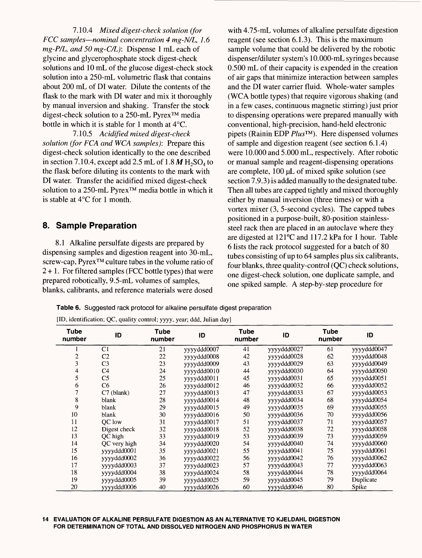7.10.4 *Mixed digest-check solution (for FCC samples—nominal concentration 4 mg-N/L, 1.6 mg-P/L, and 50 mg-C/L):* Dispense 1 mL each of glycine and glycerophosphate stock digest-check solutions and 10 mL of the glucose digest-check stock solution into a 250-mL volumetric flask that contains about 200 mL of DI water. Dilute the contents of the flask to the mark with DI water and mix it thoroughly by manual inversion and shaking. Transfer the stock digest-check solution to a 250-mL Pyrex™ media bottle in which it is stable for 1 month at 4°C.

7.10.5 *Acidified mixed digest-check solution (for FCA and WCA samples):* Prepare this digest-check solution identically to the one described in section 7.10.4, except add 2.5 mL of  $1.8 M H<sub>2</sub>SO<sub>4</sub>$  to the flask before diluting its contents to the mark with DI water. Transfer the acidified mixed digest-check solution to a 250-mL Pyrex™ media bottle in which it is stable at 4°C for 1 month.

# **8. Sample Preparation**

8.1 Alkaline persulfate digests are prepared by dispensing samples and digestion reagent into 30-mL, screw-cap, Pyrex™ culture tubes in the volume ratio of  $2 + 1$ . For filtered samples (FCC bottle types) that were prepared robotically, 9.5-mL volumes of samples, blanks, calibrants, and reference materials were dosed

with 4.75-mL volumes of alkaline persulfate digestion reagent (see section 6.1.3). This is the maximum sample volume that could be delivered by the robotic dispenser/diluter system's 10.000-mL syringes because 0.500 mL of their capacity is expended in the creation of air gaps that minimize interaction between samples and the DI water carrier fluid. Whole-water samples (WCA bottle types) that require vigorous shaking (and in a few cases, continuous magnetic stirring) just prior to dispensing operations were prepared manually with conventional, high-precision, hand-held electronic pipets (Rainin EDP *Plus'™}.* Here dispensed volumes of sample and digestion reagent (see section 6.1.4) were 10.000 and 5.000 mL, respectively. After robotic or manual sample and reagent-dispensing operations are complete, 100 uL of mixed spike solution (see section 7.9.3) is added manually to the designated tube. Then all tubes are capped tightly and mixed thoroughly either by manual inversion (three times) or with a vortex mixer (3, 5-second cycles). The capped tubes positioned in a purpose-built, 80-position stainlesssteel rack then are placed in an autoclave where they are digested at 121°C and 117.2 kPa for 1 hour. Table 6 lists the rack protocol suggested for a batch of 80 tubes consisting of up to 64 samples plus six calibrants, four blanks, three quality-control (QC) check solutions, one digest-check solution, one duplicate sample, and one spiked sample. A step-by-step procedure for

**Table 6.** Suggested rack protocol for alkaline persulfate digest preparation

| [ID, identification; QC, quality control; yyyy, year; ddd, Julian day] |  |  |  |  |  |  |  |
|------------------------------------------------------------------------|--|--|--|--|--|--|--|
|------------------------------------------------------------------------|--|--|--|--|--|--|--|

| Tube<br>number | ID             | <b>Tube</b><br>number | ID          | <b>Tube</b><br>number | ID          | <b>Tube</b><br>number | ID          |
|----------------|----------------|-----------------------|-------------|-----------------------|-------------|-----------------------|-------------|
|                | C <sub>1</sub> | 21                    | yyyyddd0007 | 41                    | yyyyddd0027 | 61                    | yyyyddd0047 |
| $\mathbf{2}$   | C <sub>2</sub> | 22                    | yyyyddd0008 | 42                    | yyyyddd0028 | 62                    | yyyyddd0048 |
| 3              | C <sub>3</sub> | 23                    | yyyyddd0009 | 43                    | yyyyddd0029 | 63                    | yyyyddd0049 |
| 4              | C <sub>4</sub> | 24                    | yyyyddd0010 | 44                    | yyyyddd0030 | 64                    | yyyyddd0050 |
| 5              | C <sub>5</sub> | 25                    | yyyyddd0011 | 45                    | yyyyddd0031 | 65                    | yyyyddd0051 |
| 6              | C6             | 26                    | yyyyddd0012 | 46                    | yyyyddd0032 | 66                    | yyyyddd0052 |
| 7              | $C7$ (blank)   | 27                    | yyyyddd0013 | 47                    | yyyyddd0033 | 67                    | yyyyddd0053 |
| 8              | blank          | 28                    | yyyyddd0014 | 48                    | yyyyddd0034 | 68                    | yyyyddd0054 |
| 9              | blank          | 29                    | yyyyddd0015 | 49                    | yyyyddd0035 | 69                    | yyyyddd0055 |
| 10             | blank          | 30                    | yyyyddd0016 | 50                    | yyyddd0036  | 70                    | yyyddd0056  |
| 11             | OC low         | 31                    | yyyyddd0017 | 51                    | yyyyddd0037 | 71                    | yyyyddd0057 |
| 12             | Digest check   | 32                    | yyyyddd0018 | 52                    | yyyyddd0038 | 72                    | yyyyddd0058 |
| 13             | QC high        | 33                    | yyyyddd0019 | 53                    | yyyyddd0039 | 73                    | yyyyddd0059 |
| 14             | QC very high   | 34                    | yyyyddd0020 | 54                    | yyyyddd0040 | 74                    | yyyyddd0060 |
| 15             | yyyyddd0001    | 35                    | yyyyddd0021 | 55                    | yyyyddd0041 | 75                    | yyyyddd0061 |
| 16             | yyyyddd0002    | 36                    | yyyyddd0022 | 56                    | yyyyddd0042 | 76                    | yyyyddd0062 |
| 17             | yyyyddd0003    | 37                    | yyyyddd0023 | 57                    | yyyyddd0043 | 77                    | yyyyddd0063 |
| 18             | yyyyddd0004    | 38                    | vyyddd0024  | 58                    | yyyyddd0044 | 78                    | yyyyddd0064 |
| 19             | yyyyddd0005    | 39                    | yyyyddd0025 | 59                    | yyyyddd0045 | 79                    | Duplicate   |
| 20             | yyyyddd0006    | 40                    | yyyyddd0026 | 60                    | yyyyddd0046 | 80                    | Spike       |

#### **14 EVALUATION OF ALKALINE PERSULFATE DIGESTION AS AN ALTERNATIVE TO KJELDAHL DIGESTION FOR DETERMINATION OF TOTAL AND DISSOLVED NITROGEN AND PHOSPHORUS IN WATER**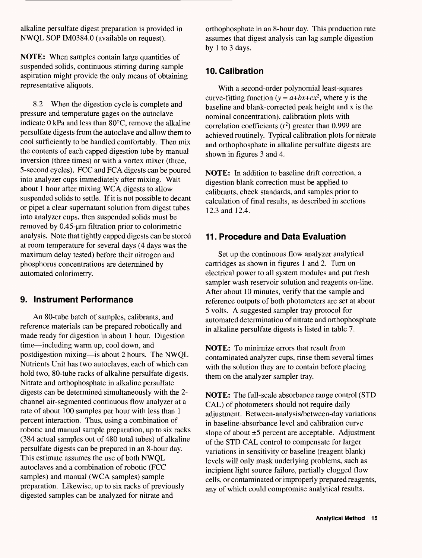alkaline persulfate digest preparation is provided in NWQL SOP IM0384.0 (available on request).

NOTE: When samples contain large quantities of suspended solids, continuous stirring during sample aspiration might provide the only means of obtaining representative aliquots.

8.2 When the digestion cycle is complete and pressure and temperature gages on the autoclave indicate 0 kPa and less than 80°C, remove the alkaline persulfate digests from the autoclave and allow them to cool sufficiently to be handled comfortably. Then mix the contents of each capped digestion tube by manual inversion (three times) or with a vortex mixer (three, 5-second cycles). FCC and FCA digests can be poured into analyzer cups immediately after mixing. Wait about 1 hour after mixing WCA digests to allow suspended solids to settle. If it is not possible to decant or pipet a clear supernatant solution from digest tubes into analyzer cups, then suspended solids must be removed by 0.45-um filtration prior to colorimetric analysis. Note that tightly capped digests can be stored at room temperature for several days (4 days was the maximum delay tested) before their nitrogen and phosphorus concentrations are determined by automated colorimetry.

## **9. Instrument Performance**

An 80-tube batch of samples, calibrants, and reference materials can be prepared robotically and made ready for digestion in about 1 hour. Digestion time—including warm up, cool down, and postdigestion mixing—is about 2 hours. The NWQL Nutrients Unit has two autoclaves, each of which can hold two, 80-tube racks of alkaline persulfate digests. Nitrate and orthophosphate in alkaline persulfate digests can be determined simultaneously with the 2 channel air-segmented continuous flow analyzer at a rate of about 100 samples per hour with less than 1 percent interaction. Thus, using a combination of robotic and manual sample preparation, up to six racks (384 actual samples out of 480 total tubes) of alkaline persulfate digests can be prepared in an 8-hour day. This estimate assumes the use of both NWQL autoclaves and a combination of robotic (FCC samples) and manual (WCA samples) sample preparation. Likewise, up to six racks of previously digested samples can be analyzed for nitrate and

orthophosphate in an 8-hour day. This production rate assumes that digest analysis can lag sample digestion by 1 to 3 days.

# **10. Calibration**

With a second-order polynomial least-squares curve-fitting function  $(y = a+bx+cx^2)$ , where y is the baseline and blank-corrected peak height and x is the nominal concentration), calibration plots with correlation coefficients  $(r^2)$  greater than 0.999 are achieved routinely. Typical calibration plots for nitrate and orthophosphate in alkaline persulfate digests are shown in figures 3 and 4.

NOTE: In addition to baseline drift correction, a digestion blank correction must be applied to calibrants, check standards, and samples prior to calculation of final results, as described in sections 12.3 and 12.4.

### **11. Procedure and Data Evaluation**

Set up the continuous flow analyzer analytical cartridges as shown in figures 1 and 2. Turn on electrical power to all system modules and put fresh sampler wash reservoir solution and reagents on-line. After about 10 minutes, verify that the sample and reference outputs of both photometers are set at about 5 volts. A suggested sampler tray protocol for automated determination of nitrate and orthophosphate in alkaline persulfate digests is listed in table 7.

NOTE: To minimize errors that result from contaminated analyzer cups, rinse them several times with the solution they are to contain before placing them on the analyzer sampler tray.

NOTE: The full-scale absorbance range control (STD CAL) of photometers should not require daily adjustment. Between-analysis/between-day variations in baseline-absorbance level and calibration curve slope of about  $\pm 5$  percent are acceptable. Adjustment of the STD CAL control to compensate for larger variations in sensitivity or baseline (reagent blank) levels will only mask underlying problems, such as incipient light source failure, partially clogged flow cells, or contaminated or improperly prepared reagents, any of which could compromise analytical results.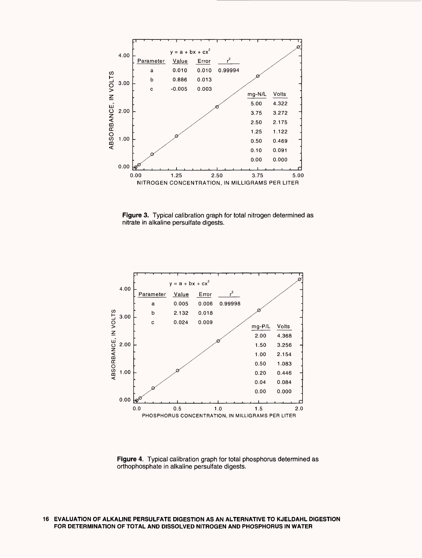

**Figure 3.** Typical calibration graph for total nitrogen determined as nitrate in alkaline persulfate digests.



**Figure 4.** Typical calibration graph for total phosphorus determined as orthophosphate in alkaline persulfate digests.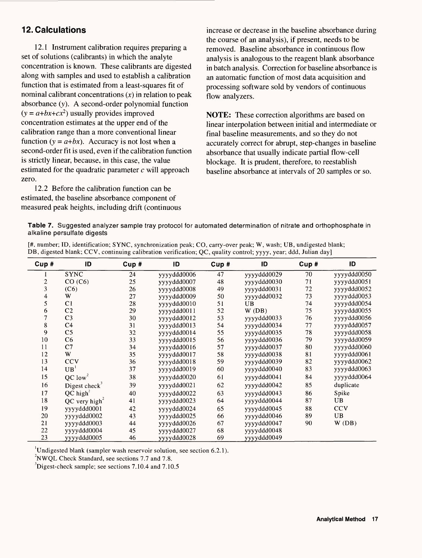# **12. Calculations**

12.1 Instrument calibration requires preparing a set of solutions (calibrants) in which the analyte concentration is known. These calibrants are digested along with samples and used to establish a calibration function that is estimated from a least-squares fit of nominal calibrant concentrations *(x)* in relation to peak absorbance  $(y)$ . A second-order polynomial function  $(y = a + bx + cx^2)$  usually provides improved concentration estimates at the upper end of the calibration range than a more conventional linear function  $(y = a+bx)$ . Accuracy is not lost when a second-order fit is used, even if the calibration function is strictly linear, because, in this case, the value estimated for the quadratic parameter *c* will approach zero.

12.2 Before the calibration function can be estimated, the baseline absorbance component of measured peak heights, including drift (continuous

increase or decrease in the baseline absorbance during the course of an analysis), if present, needs to be removed. Baseline absorbance in continuous flow analysis is analogous to the reagent blank absorbance in batch analysis. Correction for baseline absorbance is an automatic function of most data acquisition and processing software sold by vendors of continuous flow analyzers.

**NOTE:** These correction algorithms are based on linear interpolation between initial and intermediate or final baseline measurements, and so they do not accurately correct for abrupt, step-changes in baseline absorbance that usually indicate partial flow-cell blockage. It is prudent, therefore, to reestablish baseline absorbance at intervals of 20 samples or so.

**Table 7.** Suggested analyzer sample tray protocol for automated determination of nitrate and orthophosphate in alkaline persulfate digests

| Cup#           | ID                        | Cup# | ID          | Cup# | ID          | Cup# | ID          |
|----------------|---------------------------|------|-------------|------|-------------|------|-------------|
|                | <b>SYNC</b>               | 24   | yyyyddd0006 | 47   | yyyyddd0029 | 70   | yyyyddd0050 |
| $\overline{c}$ | CO (C6)                   | 25   | yyyyddd0007 | 48   | yyyyddd0030 | 71   | yyyyddd0051 |
| 3              | (C6)                      | 26   | yyyyddd0008 | 49   | yyyyddd0031 | 72   | yyyyddd0052 |
| 4              | W                         | 27   | yyyyddd0009 | 50   | yyyyddd0032 | 73   | yyyyddd0053 |
| 5              | C1                        | 28   | yyyyddd0010 | 51   | <b>UB</b>   | 74   | yyyyddd0054 |
| 6              | C <sub>2</sub>            | 29   | yyyyddd0011 | 52   | W(DB)       | 75   | yyyyddd0055 |
| 7              | C <sub>3</sub>            | 30   | yyyyddd0012 | 53   | yyyyddd0033 | 76   | yyyyddd0056 |
| 8              | C <sub>4</sub>            | 31   | yyyyddd0013 | 54   | yyyyddd0034 | 77   | yyyyddd0057 |
| 9              | C <sub>5</sub>            | 32   | yyyyddd0014 | 55   | yyyyddd0035 | 78   | yyyyddd0058 |
| 10             | C <sub>6</sub>            | 33   | yyyyddd0015 | 56   | yyyyddd0036 | 79   | yyyyddd0059 |
| 11             | C7                        | 34   | yyyyddd0016 | 57   | yyyyddd0037 | 80   | yyyyddd0060 |
| 12             | W                         | 35   | yyyyddd0017 | 58   | yyyyddd0038 | 81   | yyyyddd0061 |
| 13             | <b>CCV</b>                | 36   | yyyyddd0018 | 59   | yyyyddd0039 | 82   | yyyyddd0062 |
| 14             | UB <sup>1</sup>           | 37   | yyyyddd0019 | 60   | yyyyddd0040 | 83   | yyyyddd0063 |
| 15             | $QC$ low <sup>2</sup>     | 38   | yyyyddd0020 | 61   | yyyyddd0041 | 84   | yyyyddd0064 |
| 16             | Digest check <sup>3</sup> | 39   | yyyyddd0021 | 62   | yyyyddd0042 | 85   | duplicate   |
| 17             | $QC$ high <sup>2</sup>    | 40   | yyyyddd0022 | 63   | yyyyddd0043 | 86   | Spike       |
| 18             | QC very high <sup>2</sup> | 41   | yyyyddd0023 | 64   | yyyyddd0044 | 87   | UB          |
| 19             | yyyyddd0001               | 42   | yyyyddd0024 | 65   | yyyyddd0045 | 88   | <b>CCV</b>  |
| 20             | yyyyddd0002               | 43   | yyyyddd0025 | 66   | yyyyddd0046 | 89   | UB          |
| 21             | yyyyddd0003               | 44   | yyyyddd0026 | 67   | yyyyddd0047 | 90   | W(DB)       |
| 22             | yyyyddd0004               | 45   | yyyyddd0027 | 68   | yyyyddd0048 |      |             |
| 23             | yyyyddd0005               | 46   | yyyyddd0028 | 69   | yyyyddd0049 |      |             |

[#, number; ID, identification; SYNC, synchronization peak; CO, carry-over peak; W, wash; UB, undigested blank; DB, digested blank; CCV, continuing calibration verification; QC, quality control; yyyy, year; ddd, Julian day]

<sup>1</sup>Undigested blank (sampler wash reservoir solution, see section 6.2.1).

 $2$ NWQL Check Standard, see sections 7.7 and 7.8.

 $^{3}$ Digest-check sample; see sections 7.10.4 and 7.10.5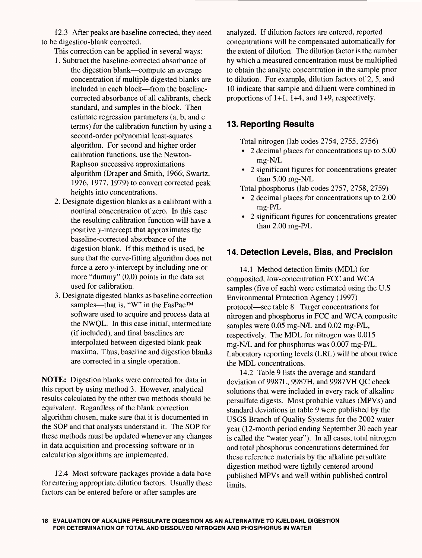12.3 After peaks are baseline corrected, they need to be digestion-blank corrected.

This correction can be applied in several ways:

- 1. Subtract the baseline-corrected absorbance of the digestion blank—compute an average concentration if multiple digested blanks are included in each block—from the baselinecorrected absorbance of all calibrants, check standard, and samples in the block. Then estimate regression parameters (a, b, and c terms) for the calibration function by using a second-order polynomial least-squares algorithm. For second and higher order calibration functions, use the Newton-Raphson successive approximations algorithm (Draper and Smith, 1966; Swartz, 1976, 1977, 1979) to convert corrected peak heights into concentrations.
- 2. Designate digestion blanks as a calibrant with a nominal concentration of zero. In this case the resulting calibration function will have a positive y-intercept that approximates the baseline-corrected absorbance of the digestion blank. If this method is used, be sure that the curve-fitting algorithm does not force a zero y-intercept by including one or more "dummy" (0,0) points in the data set used for calibration.
- 3. Designate digested blanks as baseline correction samples—that is, "W" in the FasPac™ software used to acquire and process data at the NWQL. In this case initial, intermediate (if included), and final baselines are interpolated between digested blank peak maxima. Thus, baseline and digestion blanks are corrected in a single operation.

**NOTE:** Digestion blanks were corrected for data in this report by using method 3. However, analytical results calculated by the other two methods should be equivalent. Regardless of the blank correction algorithm chosen, make sure that it is documented in the SOP and that analysts understand it. The SOP for these methods must be updated whenever any changes in data acquisition and processing software or in calculation algorithms are implemented.

12.4 Most software packages provide a data base for entering appropriate dilution factors. Usually these factors can be entered before or after samples are

analyzed. If dilution factors are entered, reported concentrations will be compensated automatically for the extent of dilution. The dilution factor is the number by which a measured concentration must be multiplied to obtain the analyte concentration in the sample prior to dilution. For example, dilution factors of 2, 5, and 10 indicate that sample and diluent were combined in proportions of 1+1, 1+4, and 1+9, respectively.

# **13. Reporting Results**

Total nitrogen (lab codes 2754, 2755, 2756)

- 2 decimal places for concentrations up to 5.00 mg-N/L
- 2 significant figures for concentrations greater than 5.00 mg-N/L

Total phosphorus (lab codes 2757, 2758, 2759)

- 2 decimal places for concentrations up to 2.00 mg-P/L
- 2 significant figures for concentrations greater than 2.00 mg-P/L

# **14. Detection Levels, Bias, and Precision**

14.1 Method detection limits (MDL) for composited, low-concentration FCC and WCA samples (five of each) were estimated using the U.S Environmental Protection Agency (1997) protocol—see table 8 Target concentrations for nitrogen and phosphorus in FCC and WCA composite samples were 0.05 mg-N/L and 0.02 mg-P/L, respectively. The MDL for nitrogen was 0.015 mg-N/L and for phosphorus was 0.007 mg-P/L. Laboratory reporting levels (LRL) will be about twice the MDL concentrations.

14.2 Table 9 lists the average and standard deviation of 9987L, 9987H, and 9987VH QC check solutions that were included in every rack of alkaline persulfate digests. Most probable values (MPVs) and standard deviations in table 9 were published by the USGS Branch of Quality Systems for the 2002 water year (12-month period ending September 30 each year is called the "water year"). In all cases, total nitrogen and total phosphorus concentrations determined for these reference materials by the alkaline persulfate digestion method were tightly centered around published MPVs and well within published control limits.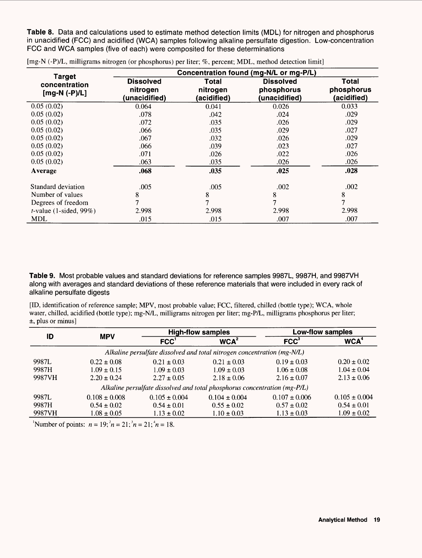**Table 8.** Data and calculations used to estimate method detection limits (MDL) for nitrogen and phosphorus in unacidified (FCC) and acidified (WCA) samples following alkaline persulfate digestion. Low-concentration FCC and WCA samples (five of each) were composited for these determinations

| <b>Target</b>                            |                                        |                                  | Concentration found (mg-N/L or mg-P/L)          |                                    |
|------------------------------------------|----------------------------------------|----------------------------------|-------------------------------------------------|------------------------------------|
| concentration<br>[mg-N $(-P)/L$ ]        | Dissolved<br>nitrogen<br>(unacidified) | Total<br>nitrogen<br>(acidified) | <b>Dissolved</b><br>phosphorus<br>(unacidified) | Total<br>phosphorus<br>(acidified) |
| 0.05(0.02)                               | 0.064                                  | 0.041                            | 0.026                                           | 0.033                              |
| 0.05(0.02)                               | .078                                   | .042                             | .024                                            | .029                               |
| 0.05(0.02)                               | .072                                   | .035                             | .026                                            | .029                               |
| 0.05(0.02)                               | .066                                   | .035                             | .029                                            | .027                               |
| 0.05(0.02)                               | .067                                   | .032                             | .026                                            | .029                               |
| 0.05(0.02)                               | .066                                   | .039                             | .023                                            | .027                               |
| 0.05(0.02)                               | .071                                   | .026                             | .022                                            | .026                               |
| 0.05(0.02)                               | .063                                   | .035                             | .026                                            | .026                               |
| Average                                  | .068                                   | .035                             | .025                                            | .028                               |
| Standard deviation                       | .005                                   | .005                             | .002                                            | .002                               |
| Number of values                         | 8                                      | 8                                | 8                                               | 8                                  |
| Degrees of freedom                       |                                        |                                  | 7                                               |                                    |
| <i>t</i> -value $(1\text{-sided}, 99\%)$ | 2.998                                  | 2.998                            | 2.998                                           | 2.998                              |
| MDL                                      | .015                                   | .015                             | .007                                            | .007                               |

[mg-N (-P)/L, milligrams nitrogen (or phosphorus) per liter; %, percent; MDL, method detection limit]

**Table 9.** Most probable values and standard deviations for reference samples 9987L, 9987H, and 9987VH along with averages and standard deviations of these reference materials that were included in every rack of alkaline persulfate digests

[ID, identification of reference sample; MPV, most probable value; FCC, filtered, chilled (bottle type); WCA, whole water, chilled, acidified (bottle type); mg-N/L, milligrams nitrogen per liter; mg-P/L, milligrams phosphorus per liter;  $\pm$ , plus or minus]

|                                                                         |                   |                   | <b>High-flow samples</b>                                                  | <b>Low-flow samples</b> |                        |  |  |  |  |
|-------------------------------------------------------------------------|-------------------|-------------------|---------------------------------------------------------------------------|-------------------------|------------------------|--|--|--|--|
| ID                                                                      | <b>MPV</b>        | FCC               | WCA <sup>2</sup>                                                          | FCC <sup>3</sup>        | <b>WCA<sup>4</sup></b> |  |  |  |  |
| Alkaline persulfate dissolved and total nitrogen concentration (mg-N/L) |                   |                   |                                                                           |                         |                        |  |  |  |  |
| 9987L                                                                   | $0.22 \pm 0.08$   | $0.21 \pm 0.03$   | $0.21 \pm 0.03$                                                           | $0.19 \pm 0.03$         | $0.20 \pm 0.02$        |  |  |  |  |
| 9987H                                                                   | $1.09 \pm 0.15$   | $1.09 \pm 0.03$   | $1.09 \pm 0.03$                                                           | $1.06 \pm 0.08$         | $1.04 \pm 0.04$        |  |  |  |  |
| 9987VH                                                                  | $2.20 \pm 0.24$   | $2.27 \pm 0.05$   | $2.18 \pm 0.06$                                                           | $2.16 \pm 0.07$         | $2.13 \pm 0.06$        |  |  |  |  |
|                                                                         |                   |                   | Alkaline persulfate dissolved and total phosphorus concentration (mg-P/L) |                         |                        |  |  |  |  |
| 9987L                                                                   | $0.108 \pm 0.008$ | $0.105 \pm 0.004$ | $0.104 \pm 0.004$                                                         | $0.107 \pm 0.006$       | $0.105 \pm 0.004$      |  |  |  |  |
| 9987H                                                                   | $0.54 \pm 0.02$   | $0.54 \pm 0.01$   | $0.55 \pm 0.02$                                                           | $0.57 \pm 0.02$         | $0.54 \pm 0.01$        |  |  |  |  |
| 9987VH                                                                  | $1.08 \pm 0.05$   | $1.13 \pm 0.02$   | $1.10 \pm 0.03$                                                           | $1.13 \pm 0.03$         | $1.09 \pm 0.02$        |  |  |  |  |

<sup>1</sup>Number of points:  $n = 19$ ;  $n = 21$ ;  $n = 21$ ;  $n = 18$ .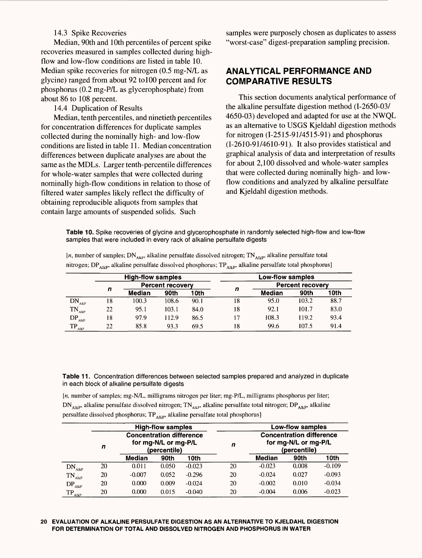#### 14.3 Spike Recoveries

Median, 90th and 10th percentiles of percent spike recoveries measured in samples collected during highflow and low-flow conditions are listed in table 10. Median spike recoveries for nitrogen (0.5 mg-N/L as glycine) ranged from about 92 to 100 percent and for phosphorus (0.2 mg-P/L as glycerophosphate) from about 86 to 108 percent.

14.4 Duplication of Results

Median, tenth percentiles, and ninetieth percentiles for concentration differences for duplicate samples collected during the nominally high- and low-flow conditions are listed in table 11. Median concentration differences between duplicate analyses are about the same as the MDLs. Larger tenth-percentile differences for whole-water samples that were collected during nominally high-flow conditions in relation to those of filtered water samples likely reflect the difficulty of obtaining reproducible aliquots from samples that contain large amounts of suspended solids. Such

samples were purposely chosen as duplicates to assess "worst-case" digest-preparation sampling precision.

# **ANALYTICAL PERFORMANCE AND COMPARATIVE RESULTS**

This section documents analytical performance of the alkaline persulfate digestion method (I-2650-03/ 4650-03) developed and adapted for use at the NWQL as an alternative to USGS Kjeldahl digestion methods for nitrogen (1-2515-91/4515-91) and phosphorus (1-2610-91/4610-91). It also provides statistical and graphical analysis of data and interpretation of results for about 2,100 dissolved and whole-water samples that were collected during nominally high- and lowflow conditions and analyzed by alkaline persulfate and Kjeldahl digestion methods.

**Table 10.** Spike recoveries of glycine and glycerophosphate in randomly selected high-flow and low-flow samples that were included in every rack of alkaline persulfate digests

| [ <i>n</i> , number of samples; $DN_{\text{ARP}}$ , alkaline persulfate dissolved nitrogen; $TN_{\text{Alp}}$ , alkaline persulfate total |  |  |
|-------------------------------------------------------------------------------------------------------------------------------------------|--|--|
| nitrogen; DP <sub>AlkP</sub> , alkaline persulfate dissolved phosphorus; $TP_{A_{lkp}}$ , alkaline persulfate total phosphorus]           |  |  |

|                                                  |    | <b>High-flow samples</b> |                         |      | Low-flow samples |                       |                         |      |  |  |
|--------------------------------------------------|----|--------------------------|-------------------------|------|------------------|-----------------------|-------------------------|------|--|--|
|                                                  |    |                          | <b>Percent recovery</b> |      |                  |                       | <b>Percent recovery</b> |      |  |  |
|                                                  | n  | <b>Median</b>            | 90th                    | 10th | n                | 90th<br><b>Median</b> |                         | 10th |  |  |
| $DN_{AlkP}$                                      | 18 | 100.3                    | 108.6                   | 90.1 | 18               | 95.0                  | 103.2                   | 88.7 |  |  |
| $\text{TN}_{\text{\tiny{AlkP}}}$                 | 22 | 95.1                     | 103.1                   | 84.0 | 18               | 92.1                  | 101.7                   | 83.0 |  |  |
| $DP_{AikP}$                                      | 18 | 97.9                     | 112.9                   | 86.5 | 17               | 108.3                 | 119.2                   | 93.4 |  |  |
| $\mathrm{TP}_{\scriptscriptstyle \mathrm{AlkP}}$ | 22 | 85.8                     | 93.3                    | 69.5 | 18               | 99.6                  | 107.5                   | 91.4 |  |  |

**Table 11.** Concentration differences between selected samples prepared and analyzed in duplicate in each block of alkaline persulfate digests

*[n,* number of samples; mg-N/L, milligrams nitrogen per liter; mg-P/L, milligrams phosphorus per liter;  $DN_{AlkP}$ , alkaline persulfate dissolved nitrogen;  $TN_{AlkP}$ , alkaline persulfate total nitrogen;  $DP_{AlkP}$ , alkaline persulfate dissolved phosphorus;  $TP_{A\text{R}p}$ , alkaline persulfate total phosphorus]

|                    |                  |                                 | <b>High-flow samples</b>             |          |    | <b>Low-flow samples</b> |                                                                         |          |  |  |
|--------------------|------------------|---------------------------------|--------------------------------------|----------|----|-------------------------|-------------------------------------------------------------------------|----------|--|--|
|                    | $\boldsymbol{n}$ | <b>Concentration difference</b> | for mg-N/L or mg-P/L<br>(percentile) |          | n  |                         | <b>Concentration difference</b><br>for mg-N/L or mg-P/L<br>(percentile) |          |  |  |
|                    |                  | <b>Median</b>                   | 90th                                 | 10th     |    | <b>Median</b>           | 90th                                                                    | 10th     |  |  |
| DN <sub>AlkP</sub> | 20               | 0.011                           | 0.050                                | $-0.023$ | 20 | $-0.023$                | 0.008                                                                   | $-0.109$ |  |  |
| $TN_{AlkP}$        | 20               | $-0.007$                        | 0.052                                | $-0.296$ | 20 | $-0.024$                | 0.027                                                                   | $-0.093$ |  |  |
| DP <sub>AlkP</sub> | 20               | 0.000                           | 0.009                                | $-0.024$ | 20 | $-0.002$                | 0.010                                                                   | $-0.034$ |  |  |
| $TP_{AlkP}$        | 20               | 0.000                           | 0.015                                | $-0.040$ | 20 | $-0.004$                | 0.006                                                                   | $-0.023$ |  |  |

#### **20 EVALUATION OF ALKALINE PERSULFATE DIGESTION AS AN ALTERNATIVE TO KJELDAHL DIGESTION FOR DETERMINATION OF TOTAL AND DISSOLVED NITROGEN AND PHOSPHORUS IN WATER**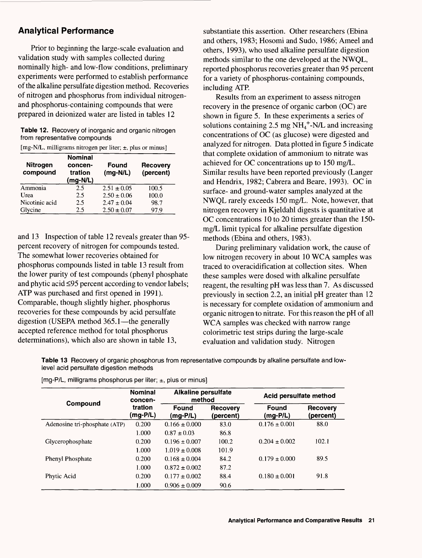# **Analytical Performance**

Prior to beginning the large-scale evaluation and validation study with samples collected during nominally high- and low-flow conditions, preliminary experiments were performed to establish performance of the alkaline persulfate digestion method. Recoveries of nitrogen and phosphorus from individual nitrogenand phosphorus-containing compounds that were prepared in deionized water are listed in tables 12

**Table 12.** Recovery of inorganic and organic nitrogen from representative compounds [mg-N/L, milligrams nitrogen per liter; ±, plus or minus]

| <b>Nitrogen</b><br>compound | <b>Nominal</b><br>concen-<br>tration<br>$(mg-N/L)$ | Found<br>$(mg-N/L)$ | Recovery<br>(percent) |
|-----------------------------|----------------------------------------------------|---------------------|-----------------------|
| Ammonia                     | 2.5                                                | $2.51 \pm 0.05$     | 100.5                 |
| Urea                        | 2.5                                                | $2.50 \pm 0.06$     | 100.0                 |
| Nicotinic acid              | 2.5                                                | $2.47 \pm 0.04$     | 98.7                  |
| Glycine                     | 2.5                                                | $2.50 \pm 0.07$     | 97.9                  |

and 13 Inspection of table 12 reveals greater than 95 percent recovery of nitrogen for compounds tested. The somewhat lower recoveries obtained for phosphorus compounds listed in table 13 result from the lower purity of test compounds (phenyl phosphate and phytic acid <95 percent according to vendor labels; ATP was purchased and first opened in 1991). Comparable, though slightly higher, phosphorus recoveries for these compounds by acid persulfate digestion (USEPA method 365.1—the generally accepted reference method for total phosphorus determinations), which also are shown in table 13,

substantiate this assertion. Other researchers (Ebina and others, 1983; Hosomi and Sudo, 1986; Ameel and others, 1993), who used alkaline persulfate digestion methods similar to the one developed at the NWQL, reported phosphorus recoveries greater than 95 percent for a variety of phosphorus-containing compounds, including ATP.

Results from an experiment to assess nitrogen recovery in the presence of organic carbon (OC) are shown in figure 5. In these experiments a series of solutions containing 2.5 mg  $NH_4^+$ -N/L and increasing concentrations of OC (as glucose) were digested and analyzed for nitrogen. Data plotted in figure 5 indicate that complete oxidation of ammonium to nitrate was achieved for OC concentrations up to 150 mg/L. Similar results have been reported previously (Langer and Hendrix, 1982; Cabrera and Beare, 1993). OC in surface- and ground-water samples analyzed at the NWQL rarely exceeds 150 mg/L. Note, however, that nitrogen recovery in Kjeldahl digests is quantitative at OC concentrations 10 to 20 times greater than the 150 mg/L limit typical for alkaline persulfate digestion methods (Ebina and others, 1983).

During preliminary validation work, the cause of low nitrogen recovery in about 10 WCA samples was traced to overacidification at collection sites. When these samples were dosed with alkaline persulfate reagent, the resulting pH was less than 7. As discussed previously in section 2.2, an initial pH greater than 12 is necessary for complete oxidation of ammonium and organic nitrogen to nitrate. For this reason the pH of all WCA samples was checked with narrow range colorimetric test strips during the large-scale evaluation and validation study. Nitrogen

**Table 13** Recovery of organic phosphorus from representative compounds by alkaline persulfate and lowlevel acid persulfate digestion methods

|                               | <b>Alkaline persulfate</b><br><b>Nominal</b><br>method<br>concen- |                   |                       | Acid persulfate method |                              |  |
|-------------------------------|-------------------------------------------------------------------|-------------------|-----------------------|------------------------|------------------------------|--|
| Compound                      | tration<br>(mg-P/L)                                               | Found<br>(mg-P/L) | Recovery<br>(percent) | Found<br>(mg-P/L)      | <b>Recovery</b><br>(percent) |  |
| Adenosine tri-phosphate (ATP) | 0.200                                                             | $0.166 \pm 0.000$ | 83.0                  | $0.176 \pm 0.001$      | 88.0                         |  |
|                               | 1.000                                                             | $0.87 \pm 0.03$   | 86.8                  |                        |                              |  |
| Glycerophosphate              | 0.200                                                             | $0.196 \pm 0.007$ | 100.2                 | $0.204 \pm 0.002$      | 102.1                        |  |
|                               | 1.000                                                             | $1.019 \pm 0.008$ | 101.9                 |                        |                              |  |
| <b>Phenyl Phosphate</b>       | 0.200                                                             | $0.168 \pm 0.004$ | 84.2                  | $0.179 \pm 0.000$      | 89.5                         |  |
|                               | 1.000                                                             | $0.872 \pm 0.002$ | 87.2                  |                        |                              |  |
| Phytic Acid                   | 0.200                                                             | $0.177 \pm 0.002$ | 88.4                  | $0.180 \pm 0.001$      | 91.8                         |  |
|                               | 1.000                                                             | $0.906 \pm 0.009$ | 90.6                  |                        |                              |  |

 $[mg-P/L,$  milligrams phosphorus per liter;  $\pm$ , plus or minus]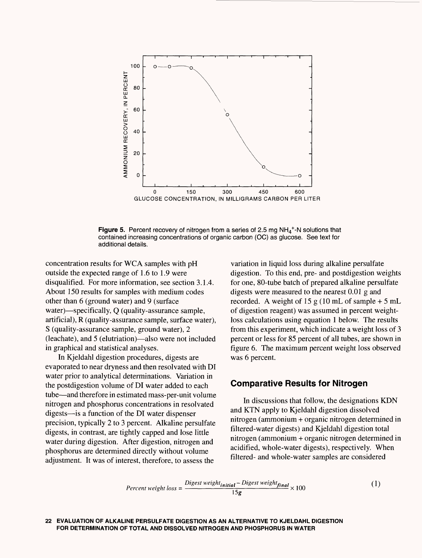

**Figure 5.** Percent recovery of nitrogen from a series of 2.5 mg NH<sub>4</sub><sup>+</sup>-N solutions that contained increasing concentrations of organic carbon (OC) as glucose. See text for additional details.

concentration results for WCA samples with pH outside the expected range of 1.6 to 1.9 were disqualified. For more information, see section 3.1.4. About 150 results for samples with medium codes other than 6 (ground water) and 9 (surface water)—specifically, Q (quality-assurance sample, artificial), R (quality-assurance sample, surface water), S (quality-assurance sample, ground water), *2*  (leachate), and 5 (elutriation)—also were not included in graphical and statistical analyses.

In Kjeldahl digestion procedures, digests are evaporated to near dryness and then resolvated with DI water prior to analytical determinations. Variation in the postdigestion volume of DI water added to each tube—and therefore in estimated mass-per-unit volume nitrogen and phosphorus concentrations in resolvated digests—is a function of the DI water dispenser precision, typically 2 to 3 percent. Alkaline persulfate digests, in contrast, are tightly capped and lose little water during digestion. After digestion, nitrogen and phosphorus are determined directly without volume adjustment. It was of interest, therefore, to assess the

variation in liquid loss during alkaline persulfate digestion. To this end, pre- and postdigestion weights for one, 80-tube batch of prepared alkaline persulfate digests were measured to the nearest 0.01 g and recorded. A weight of 15 g (10 mL of sample  $+$  5 mL of digestion reagent) was assumed in percent weightloss calculations using equation 1 below. The results from this experiment, which indicate a weight loss of 3 percent or less for 85 percent of all tubes, are shown in figure 6. The maximum percent weight loss observed was 6 percent.

#### **Comparative Results for Nitrogen**

In discussions that follow, the designations KDN and KTN apply to Kjeldahl digestion dissolved nitrogen (ammonium + organic nitrogen determined in filtered-water digests) and Kjeldahl digestion total nitrogen (ammonium + organic nitrogen determined in acidified, whole-water digests), respectively. When filtered- and whole-water samples are considered

$$
Percent weight loss = \frac{Digest weight_{initial} - Digest weight_{final}}{15g} \times 100
$$
 (1)

#### **22 EVALUATION OF ALKALINE PERSULFATE DIGESTION AS AN ALTERNATIVE TO KJELDAHL DIGESTION FOR DETERMINATION OF TOTAL AND DISSOLVED NITROGEN AND PHOSPHORUS IN WATER**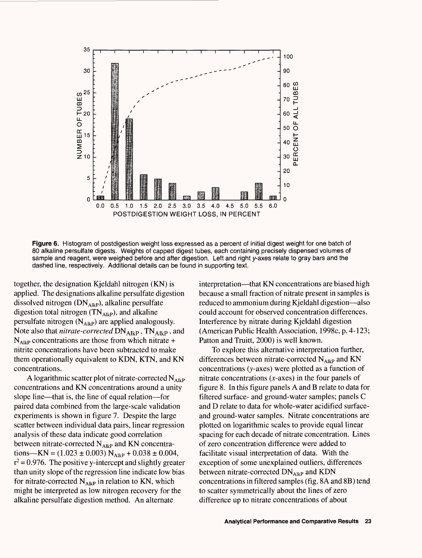

**Figure 6.** Histogram of postdigestion weight loss expressed as a percent of initial digest weight for one batch of 80 alkaline persulfate digests. Weights of capped digest tubes, each containing precisely dispensed volumes of sample and reagent, were weighed before and after digestion. Left and right y-axes relate to gray bars and the dashed line, respectively. Additional details can be found in supporting text.

together, the designation Kjeldahl nitrogen (KN) is applied. The designations alkaline persulfate digestion dissolved nitrogen  $(DN_{AlkP})$ , alkaline persulfate digestion total nitrogen  $(TN<sub>AlkP</sub>)$ , and alkaline persulfate nitrogen  $(N_{AlkP})$  are applied analogously. Note also that *nitrate-corrected* DN<sub>AlkP</sub>, TN<sub>AlkP</sub>, and  $N_{AlkP}$  concentrations are those from which nitrate + nitrite concentrations have been subtracted to make them operationally equivalent to KDN, KTN, and KN concentrations.

A logarithmic scatter plot of nitrate-corrected  $N_{AlkP}$ concentrations and KN concentrations around a unity slope line—that is, the line of equal relation—for paired data combined from the large-scale validation experiments is shown in figure 7. Despite the large scatter between individual data pairs, linear regression analysis of these data indicate good correlation between nitrate-corrected  $N_{AlkP}$  and KN concentrations—KN =  $(1.023 \pm 0.003)$  N<sub>AlkP</sub> + 0.038  $\pm$  0.004,  $r^2$  = 0.976. The positive y-intercept and slightly greater than unity slope of the regression line indicate low bias for nitrate-corrected  $N_{AlkP}$  in relation to KN, which might be interpreted as low nitrogen recovery for the alkaline persulfate digestion method. An alternate

interpretation—that KN concentrations are biased high because a small fraction of nitrate present in samples is reduced to ammonium during Kjeldahl digestion—also could account for observed concentration differences. Interference by nitrate during Kjeldahl digestion (American Public Health Association, 1998c, p. 4-123; Patton and Truitt, 2000) is well known.

To explore this alternative interpretation further, differences between nitrate-corrected  $N_{AlkP}$  and KN concentrations (v-axes) were plotted as a function of nitrate concentrations  $(x$ -axes) in the four panels of figure 8. In this figure panels A and B relate to data for filtered surface- and ground-water samples; panels C and D relate to data for whole-water acidified surfaceand ground-water samples. Nitrate concentrations are plotted on logarithmic scales to provide equal linear spacing for each decade of nitrate concentration. Lines of zero concentration difference were added to facilitate visual interpretation of data. With the exception of some unexplained outliers, differences between nitrate-corrected  $DN<sub>AlkP</sub>$  and KDN concentrations in filtered samples (fig. 8A and 8B) tend to scatter symmetrically about the lines of zero difference up to nitrate concentrations of about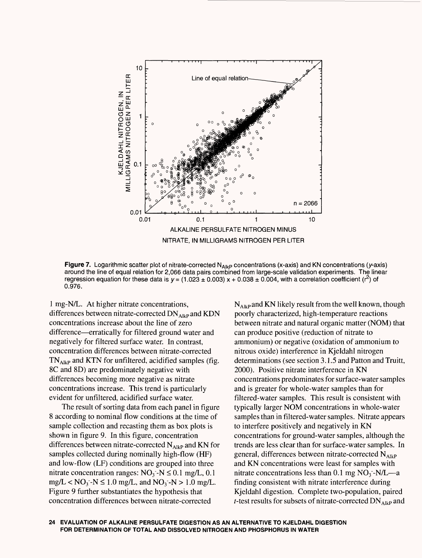

**Figure 7.** Logarithmic scatter plot of nitrate-corrected  $N_{A|k}$  concentrations (x-axis) and KN concentrations (y-axis) around the line of equal relation for 2,066 data pairs combined from large-scale validation experiments. The linear regression equation for these data is  $y = (1.023 \pm 0.003) x + 0.038 \pm 0.004$ , with a correlation coefficient ( $r^2$ ) of 0.976.

1 mg-N/L. At higher nitrate concentrations, differences between nitrate-corrected  $DN<sub>AlkP</sub>$  and KDN concentrations increase about the line of zero difference—erratically for filtered ground water and negatively for filtered surface water. In contrast, concentration differences between nitrate-corrected  $TN_{Alkp}$  and KTN for unfiltered, acidified samples (fig. 8C and 8D) are predominately negative with differences becoming more negative as nitrate concentrations increase. This trend is particularly evident for unfiltered, acidified surface water.

The result of sorting data from each panel in figure 8 according to nominal flow conditions at the time of sample collection and recasting them as box plots is shown in figure *9.* In this figure, concentration differences between nitrate-corrected  $N_{AlkP}$  and KN for samples collected during nominally high-flow (HF) and low-flow (LF) conditions are grouped into three nitrate concentration ranges:  $NO_3$ - $N \le 0.1$  mg/L, 0.1 mg/L <  $NO_3$  - $N \le 1.0$  mg/L, and  $NO_3$  - $N > 1.0$  mg/L. Figure *9* further substantiates the hypothesis that concentration differences between nitrate-corrected

 $N_{A/kP}$  and KN likely result from the well known, though poorly characterized, high-temperature reactions between nitrate and natural organic matter (NOM) that can produce positive (reduction of nitrate to ammonium) or negative (oxidation of ammonium to nitrous oxide) interference in Kjeldahl nitrogen determinations (see section 3.1.5 and Patton and Truitt, 2000). Positive nitrate interference in KN concentrations predominates for surface-water samples and is greater for whole-water samples than for filtered-water samples. This result is consistent with typically larger NOM concentrations in whole-water samples than in filtered-water samples. Nitrate appears to interfere positively and negatively in KN concentrations for ground-water samples, although the trends are less clear than for surface-water samples. In general, differences between nitrate-corrected  $N_{A I k P}$ and KN concentrations were least for samples with nitrate concentrations less than  $0.1$  mg  $NO<sub>3</sub>$ -N/L—a finding consistent with nitrate interference during Kjeldahl digestion. Complete two-population, paired  $t$ -test results for subsets of nitrate-corrected  $DN<sub>AlkP</sub>$  and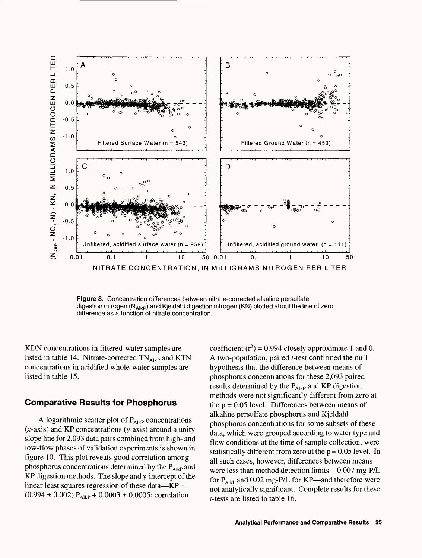

**Figure 8.** Concentration differences between nitrate-corrected alkaline persulfate digestion nitrogen (N<sub>AlkP</sub>) and Kjeldahl digestion nitrogen (KN) plotted about the line of zero difference as a function of nitrate concentration.

KDN concentrations in filtered-water samples are listed in table 14. Nitrate-corrected  $TN_{AlkP}$  and KTN concentrations in acidified whole-water samples are listed in table 15.

#### **Comparative Results for Phosphorus**

A logarithmic scatter plot of  $P_{AlkP}$  concentrations  $(x-axis)$  and KP concentrations (y-axis) around a unity slope line for 2,093 data pairs combined from high- and low-flow phases of validation experiments is shown in figure 10. This plot reveals good correlation among phosphorus concentrations determined by the  $P_{A|k}$  and KP digestion methods. The slope and y-intercept of the linear least squares regression of these data—KP  $=$  $(0.994 \pm 0.002)$  P<sub>AlkP</sub> + 0.0003  $\pm$  0.0005; correlation

coefficient  $(r^2) = 0.994$  closely approximate 1 and 0. A two-population, paired r-test confirmed the null hypothesis that the difference between means of phosphorus concentrations for these 2,093 paired results determined by the P<sub>AlkP</sub> and KP digestion methods were not significantly different from zero at the  $p = 0.05$  level. Differences between means of alkaline persulfate phosphorus and Kjeldahl phosphorus concentrations for some subsets of these data, which were grouped according to water type and flow conditions at the time of sample collection, were statistically different from zero at the  $p = 0.05$  level. In all such cases, however, differences between means were less than method detection limits—0.007 mg-P/L for  $P_{AlkP}$  and 0.02 mg-P/L for KP—and therefore were not analytically significant. Complete results for these  $t$ -tests are listed in table 16.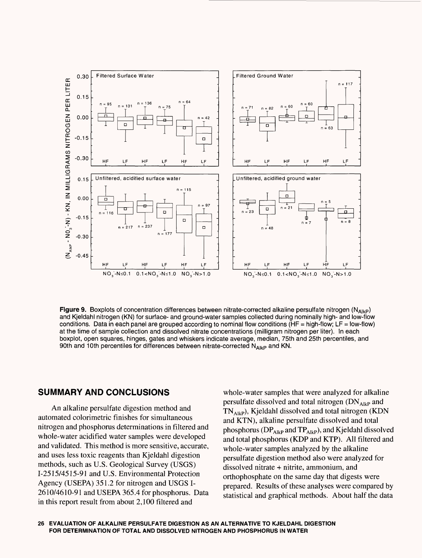

Figure 9. Boxplots of concentration differences between nitrate-corrected alkaline persulfate nitrogen (N<sub>AlkP</sub>) and Kjeldahl nitrogen (KN) for surface- and ground-water samples collected during nominally high- and low-flow conditions. Data in each panel are grouped according to nominal flow conditions (HF = high-flow; LF = low-flow) at the time of sample collection and dissolved nitrate concentrations (milligram nitrogen per liter). In each boxplot, open squares, hinges, gates and whiskers indicate average, median, 75th and 25th percentiles, and 90th and 10th percentiles for differences between nitrate-corrected  $N_{A|k}$  and KN.

### **SUMMARY AND CONCLUSIONS**

An alkaline persulfate digestion method and automated colorimetric finishes for simultaneous nitrogen and phosphorus determinations in filtered and whole-water acidified water samples were developed and validated. This method is more sensitive, accurate, and uses less toxic reagents than Kjeldahl digestion methods, such as U.S. Geological Survey (USGS) 1-2515/4515-91 and U.S. Environmental Protection Agency (USEPA) 351.2 for nitrogen and USGS I-2610/4610-91 and USEPA 365.4 for phosphorus. Data in this report result from about 2,100 filtered and

whole-water samples that were analyzed for alkaline persulfate dissolved and total nitrogen  $(DN_{A I kP}$  and  $TN<sub>AlkP</sub>$ ), Kjeldahl dissolved and total nitrogen (KDN and KTN), alkaline persulfate dissolved and total phosphorus ( $DP_{AlkP}$  and  $TP_{AlkP}$ ), and Kjeldahl dissolved and total phosphorus (KDP and KTP). All filtered and whole-water samples analyzed by the alkaline persulfate digestion method also were analyzed for dissolved nitrate + nitrite, ammonium, and orthophosphate on the same day that digests were prepared. Results of these analyses were compared by statistical and graphical methods. About half the data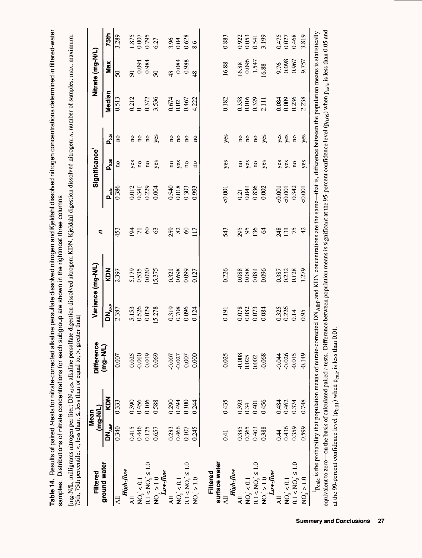Table 14. Results of paired t-tests for nitrate-corrected alkaline persulfate dissolved nitrogen and Kjeldahl dissolved nitrogen concentrations determined in filtered-water<br>samples. Distributions of nitrate concentrations **Table 14.** Results of paired Mests for nitrate-corrected alkaline persulfate dissolved nitrogen and Kjeldahl dissolved nitrogen concentrations determined in filtered-water samples. Distributions of nitrate concentrations for each subgroup are shown in the rightmost three columns

| $\ddotsc$                                                              |                |
|------------------------------------------------------------------------|----------------|
| ֚֝֝֝֝֝֝֝֬֝֝֝֬֝֝֬֝֬֝֝֝֬֝֝֬֝֝֝֝֝֝֝֝֝֝֟֝ <del>֟</del><br>i<br>C<br>C<br>C |                |
| i<br>$\sim$ and $\sim$ $\sim$ $\sim$                                   |                |
|                                                                        |                |
| :                                                                      |                |
| :<br>:<br>;<br>;<br>i                                                  |                |
| $\frac{1}{2}$                                                          |                |
|                                                                        | $\frac{1}{2}$  |
| l<br>ı<br>i<br>į<br>$\ddot{\phantom{a}}$                               | 1              |
| $\overline{a}$                                                         |                |
| $\frac{1}{2}$                                                          | :<br>i<br>!    |
|                                                                        |                |
| <b>WARRANTI 1 CARD WAR</b><br>ī                                        | <b>ה א</b> ל ה |

| <b>Filtered</b>                                                                                                                                                                                                       |                          | $(mg-WL)$<br>Mean       | <b>Difference</b>                                                                                                                                                                                        |                          | Variance (mg-N/L)       | E                     |                       | <b>Significance</b>     |                         |                                  | Nitrate (mg-N/L)                                    |                                  |
|-----------------------------------------------------------------------------------------------------------------------------------------------------------------------------------------------------------------------|--------------------------|-------------------------|----------------------------------------------------------------------------------------------------------------------------------------------------------------------------------------------------------|--------------------------|-------------------------|-----------------------|-----------------------|-------------------------|-------------------------|----------------------------------|-----------------------------------------------------|----------------------------------|
| ground water                                                                                                                                                                                                          | <b>DN<sub>AIKP</sub></b> | <b>KDN</b>              | (mg-M-L)                                                                                                                                                                                                 | <b>DN<sub>AlkP</sub></b> | <b>KDN</b>              |                       | $P_{calc}$            | $P_{\rm{obs}}$          | p <sub>oon</sub>        | Median                           | Max                                                 | <b>75th</b>                      |
| All                                                                                                                                                                                                                   | 0.340                    | 0.333                   | 0.007                                                                                                                                                                                                    | 2.387                    | 2.397                   | 453                   | 0.386                 | $\overline{\mathbf{n}}$ | $\overline{\mathbf{n}}$ | 0.513                            | $\overline{50}$                                     | 3.289                            |
| <b>High-flow</b>                                                                                                                                                                                                      |                          |                         |                                                                                                                                                                                                          |                          |                         |                       |                       |                         |                         |                                  |                                                     |                                  |
| $\overline{AB}$                                                                                                                                                                                                       | 0.415                    | 0.390<br>0.456          | 0.025                                                                                                                                                                                                    | 5.153                    |                         |                       | 0.012                 | yes                     | $\overline{\mathbf{n}}$ | $\frac{0.212}{0}$                | $\frac{50}{0.094}$                                  |                                  |
|                                                                                                                                                                                                                       | 0.446                    |                         | $-0.010$                                                                                                                                                                                                 | 0.526                    |                         |                       | 0.341                 | ho                      | $\mathbf{a}$            |                                  |                                                     |                                  |
|                                                                                                                                                                                                                       | 0.125                    | 0.106                   | 0.019                                                                                                                                                                                                    | 0.029                    | 5.179<br>0.535<br>0.020 | $\overline{3} \leq 8$ | 0.229                 | $\mathbf{S}$            | $\mathbf{a}$            | 0.372<br>3.536                   | 0.984                                               | 1.875<br>0.007<br>0.795<br>6.27  |
| $NO3 < 0.1$<br>$0.1 < NO3 \le 1.0$<br>$NO3 > 1.0$                                                                                                                                                                     | 0.657                    | 0.588                   | 0.069                                                                                                                                                                                                    | 5.278                    | 15.375                  | 63                    | 0.004                 | yes                     | yes                     |                                  | $50\,$                                              |                                  |
| Low-flow                                                                                                                                                                                                              |                          |                         |                                                                                                                                                                                                          |                          |                         |                       |                       |                         |                         |                                  |                                                     |                                  |
| $\overline{AB}$                                                                                                                                                                                                       | 0.283                    |                         | $-0.007$<br>$-0.027$                                                                                                                                                                                     | 0.319                    | 0.321<br>0.698          | 259                   | 0.540<br>0.018        | no                      | $\overline{\mathbf{n}}$ | $\frac{0.674}{0.02}$             |                                                     |                                  |
| NO <sub>j</sub> < 0.1                                                                                                                                                                                                 | 0.466                    |                         |                                                                                                                                                                                                          | 0.708                    |                         | 82                    |                       | yes                     | $\overline{\mathbf{n}}$ |                                  |                                                     |                                  |
|                                                                                                                                                                                                                       | 0.107                    | 0.290<br>0.494<br>0.100 | $0.007$                                                                                                                                                                                                  | 0.096                    | 0.099                   | $\infty$              | 0.303                 | $\overline{\mathbf{n}}$ | $\overline{a}$          | 0.467                            | $\begin{array}{c} 48 \\ 0.084 \\ 0.988 \end{array}$ | 3.96<br>0.628                    |
| $0.1 < NO_3 \le 1.0$<br>NO <sub>3</sub> > 1.0                                                                                                                                                                         | 0.245                    | 0.244                   | 0.000                                                                                                                                                                                                    | 0.124                    | 0.127                   | 117                   | 0.993                 | $\overline{a}$          | $\overline{\mathbf{a}}$ | 4.222                            | $\frac{8}{4}$                                       | 8.6                              |
| Filtered                                                                                                                                                                                                              |                          |                         |                                                                                                                                                                                                          |                          |                         |                       |                       |                         |                         |                                  |                                                     |                                  |
| surface water                                                                                                                                                                                                         |                          |                         |                                                                                                                                                                                                          |                          |                         |                       |                       |                         |                         |                                  |                                                     |                                  |
| High-flow<br><b>All</b>                                                                                                                                                                                               | 0.41                     | 0.435                   | $-0.025$                                                                                                                                                                                                 | 0.191                    | 0.226                   | 543                   | 0.001                 | yes                     | yes                     | 0.182                            | 16.88                                               | 0.883                            |
| $\overline{AB}$                                                                                                                                                                                                       | 0.385                    | 0.393                   | $-0.008$                                                                                                                                                                                                 |                          | 0.088                   |                       |                       | $\overline{\mathbf{n}}$ | $\overline{\mathbf{a}}$ |                                  | 16.88                                               |                                  |
|                                                                                                                                                                                                                       | 0.365                    | 0.34                    | 0.025                                                                                                                                                                                                    |                          | 0.088                   |                       | $0.21$<br>$0.041$     | yes                     | $\mathbf{a}$            |                                  | 0.096                                               |                                  |
|                                                                                                                                                                                                                       | 0.403                    | 0.401                   | 0.002                                                                                                                                                                                                    | 0.078<br>0.082<br>0.073  | 0.081                   | 888                   | 0.836                 | $\mathbf{a}$            | $\overline{\mathbf{a}}$ | 0.358<br>0.016<br>0.329<br>2.111 | 1.547                                               | 0.922<br>0.053<br>0.541<br>3.199 |
| $NO3 < 0.1$<br>$0.1 < NO3 \le 1.0$<br>$NO3 > 1.0$                                                                                                                                                                     | 0.388                    | 0.456                   | $-0.068$                                                                                                                                                                                                 | 0.084                    | 0.096                   | $\mathcal{R}$         | 0.002                 | yes                     | yes                     |                                  | 16.88                                               |                                  |
| Low-flow                                                                                                                                                                                                              |                          |                         |                                                                                                                                                                                                          |                          |                         |                       |                       |                         |                         |                                  |                                                     |                                  |
| $\overline{AB}$                                                                                                                                                                                                       | 0.44                     | 0.484                   |                                                                                                                                                                                                          | 0.325<br>0.226           | 0.387                   | 248                   | $\frac{0.001}{0.001}$ | yes                     | yes                     | 0.084                            |                                                     |                                  |
| $NO_3 < 0.1$                                                                                                                                                                                                          | 0.436                    | 0.462                   | $-0.026$                                                                                                                                                                                                 |                          | 0.232                   | 131                   |                       | yes                     | yes                     |                                  | 9.76<br>0.098                                       | 0.475<br>0.027                   |
| $0.1 < NO_3 \le 1.0$                                                                                                                                                                                                  | 0.359                    | 0.374                   | $-0.015$                                                                                                                                                                                                 | 0.14                     | 0.128                   |                       | 0.342                 | $\mathbf{a}$            | $\overline{\mathbf{n}}$ | 0.236                            | 0.967                                               | 0.468                            |
| NO <sub>3</sub> > 1.0                                                                                                                                                                                                 | 0.599                    | 0.748                   | $-0.149$                                                                                                                                                                                                 | 0.95                     | 1.279                   | 42                    | $-0.001$              | yes                     | yes                     | 2.238                            | 9.757                                               | 3819                             |
|                                                                                                                                                                                                                       |                          |                         | p <sub>calc</sub> is the probability that population means of nitrate-corrected DN <sub>AlkP</sub> and KDN concentrations are the same—that is, difference between the population means is statistically |                          |                         |                       |                       |                         |                         |                                  |                                                     |                                  |
| equivalent to zero—on the basis of calculated paired 1-tests. Difference between population means is significant at the 95-percent confidence level (p <sub>0.05</sub> ) when p <sub>ealc</sub> is less than 0.05 and |                          |                         |                                                                                                                                                                                                          |                          |                         |                       |                       |                         |                         |                                  |                                                     |                                  |

at the 99-percent confidence level  $(p_{0.01})$  when  $p_{calc}$  is less than 0.01.

at the 99-percent confidence level (p<sub>0.01</sub>) when p<sub>calc</sub> is less than 0.01.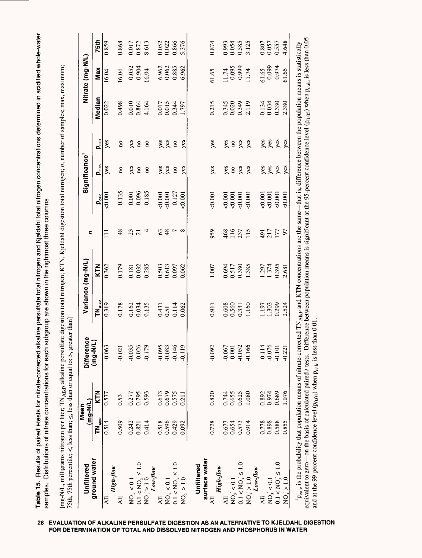Table 15. Results of paired Ftests for nitrate-corrected alkaline persulfate total nitrogen and Kjeldahl total nitrogen concentrations determined in acidified whole-water Table 15. Results of paired t-tests for nitrate-corrected alkaline persulfate total nitrogen and Kjeldahl total nitrogen concentrations determined in acidified whole-water samples. Distributions of nitrate concentrations for each subgroup are shown in the rightmost three columns samples. Distributions of nitrate concentrations for each subgroup are shown in the rightmost three columns

[mg-ML, milligrams nitrogen per liter; TN<sub>AIkP</sub> alkaline persulfate digestion total nitrogen; KTN, Kjeldahl digestion total nitrogen; n, number of samples; max, maximum;<br>75th 75th percentile: class than class than or concl [mg-N/L, milligrams nitrogen per liter; TNAlkp, alkaline persulfate digestion total nitrogen; KTN, Kjeldahl digestion total nitrogen; *n,* number of samples; max, maximum; 75th, 75th percentile;  $\lt$ , less than;  $\le$ , less than or equal to;  $\gt$ , greater than]

| Unfiltered                                                    |                               | $(mg-N/L)$<br>Mean | <b>Difference</b>                                                                                                                                                                                        |                          | Variance (mg-N/L)                                                                                                                   | c                 |                                                        | Significance <sup>'</sup> |                           |                         | Nitrate (mg-N/L)        |                                  |
|---------------------------------------------------------------|-------------------------------|--------------------|----------------------------------------------------------------------------------------------------------------------------------------------------------------------------------------------------------|--------------------------|-------------------------------------------------------------------------------------------------------------------------------------|-------------------|--------------------------------------------------------|---------------------------|---------------------------|-------------------------|-------------------------|----------------------------------|
| ground water                                                  | $\mathsf{TN}_{\textsf{AlkP}}$ | KTN                | $(mg-ML)$                                                                                                                                                                                                | <b>TN<sub>AIKP</sub></b> | <b>KTN</b>                                                                                                                          |                   | $P_{\rm calc}$                                         | a.<br>A                   | $\mathbf{p}_{\text{ori}}$ | Median                  | Max                     | <b>75th</b>                      |
| <b>High-flow</b><br>$\overline{A}$                            | 0.514                         | 0.577              | $-0.063$                                                                                                                                                                                                 | 0.319                    | 0.362                                                                                                                               | $\Xi$             | 0.001                                                  | yes                       | yes                       | 0.022                   | 16.04                   | 0.859                            |
| $\overline{AB}$                                               | 0.509                         | 0.53               | $-0.021$                                                                                                                                                                                                 | 0.178                    | 0.179                                                                                                                               | $\frac{8}{3}$     | 0.135                                                  | $\overline{\mathbf{n}}$   | $\overline{\mathbf{a}}$   | 0.498                   | 16.04                   | 0.868                            |
|                                                               | 0.242                         | 0.277              | $-0.035$                                                                                                                                                                                                 | 0.162                    |                                                                                                                                     |                   |                                                        | yes                       | yes                       |                         |                         |                                  |
| $NO_3 < 0.1$<br>0.1 < $NO_3 \le 1.0$                          | 0.821                         | 0.795              | 0.026                                                                                                                                                                                                    | 0.034                    | 0.181<br>0.032<br>0.285                                                                                                             | $\frac{23}{21}$   | $\begin{array}{c} 0.001 \\ 0.096 \\ 0.185 \end{array}$ | $\overline{\mathbf{n}}$   | no                        | 0.010<br>0.864          | $0.052$<br>$0.904$      | 0.017<br>0.872<br>8.613          |
| $NO_1 > 1.0$                                                  | 0.414                         | 0.593              | $-0.179$                                                                                                                                                                                                 | 0.135                    |                                                                                                                                     | 4                 |                                                        | $\overline{\mathbf{n}}$   | $\overline{\mathbf{n}}$   | 4.164                   | 16.04                   |                                  |
| Low-flow<br>AII                                               |                               |                    |                                                                                                                                                                                                          |                          |                                                                                                                                     |                   |                                                        |                           |                           |                         |                         |                                  |
|                                                               | 0.596<br>0.518                | 0.679<br>0.613     | $-0.095$<br>$-0.083$<br>$-0.146$                                                                                                                                                                         | 0.431<br>0.51<br>0.114   | 0.503<br>0.613<br>0.097                                                                                                             | $rac{3}{48}$      | 0.001<br>0.001                                         | yes<br>yes                | yes<br>yes                | 0.017<br>0.015<br>0.344 | 6.962<br>0.062<br>0.885 | $\frac{0.052}{0.022}$            |
| $NO_3 < 0.1$<br>0.1 < NO <sub>3</sub> $\le 1.0$               | 0.429                         | 0.575              |                                                                                                                                                                                                          |                          |                                                                                                                                     | $\overline{r}$    | 0.127                                                  | $\overline{\mathbf{n}}$   | $\overline{\mathbf{n}}$   |                         |                         | 0.866                            |
| NO <sub>3</sub> > 1.0                                         | 0.092                         | 0.211              | $-0.119$                                                                                                                                                                                                 | 0.062                    | 0.062                                                                                                                               | $\infty$          | 0.001                                                  | yes                       | yes                       | 1.797                   | 6.962                   | 5.376                            |
| Unfiltered                                                    |                               |                    |                                                                                                                                                                                                          |                          |                                                                                                                                     |                   |                                                        |                           |                           |                         |                         |                                  |
| surface water<br>$\overline{a}$                               | 0.728                         | 0.820              | $-0.092$                                                                                                                                                                                                 | 0.911                    | 1.007                                                                                                                               | 959               |                                                        |                           |                           | 0.215                   | 61.65                   | 0.874                            |
| $High-flow$                                                   |                               |                    |                                                                                                                                                                                                          |                          |                                                                                                                                     |                   | 0.001                                                  | yes                       | yes                       |                         |                         |                                  |
| All                                                           | 0.677                         | 0.744              |                                                                                                                                                                                                          |                          |                                                                                                                                     |                   |                                                        | yes                       | yes                       |                         |                         |                                  |
|                                                               | 0.654                         | 0.655              | $-0.067$                                                                                                                                                                                                 | 0.608<br>0.560<br>0.331  | 0.694<br>0.517<br>0.380                                                                                                             | 468<br>116<br>237 |                                                        | $\mathbf{S}$              | Ωû                        |                         |                         |                                  |
| $NO_3 < 0.1$<br>$0.1 < NO_3 \le 1.0$                          | 0.573                         | 0.625              | $-0.052$                                                                                                                                                                                                 |                          |                                                                                                                                     |                   | $\frac{0.001}{0.001}$                                  | yes                       | yes                       | 0.345<br>0.020<br>0.349 | 11.74<br>0.095<br>0.999 | 0.993<br>0.054<br>0.585<br>3.125 |
| $NO3 > 1.0$                                                   | 0.914                         | 1.080              | $-0.166$                                                                                                                                                                                                 | 1.160                    | 1.385                                                                                                                               | 115               | 0.001                                                  | yes                       | yes                       | 2.119                   | 11.74                   |                                  |
| Low-flow                                                      |                               |                    |                                                                                                                                                                                                          |                          |                                                                                                                                     |                   |                                                        |                           |                           |                         |                         |                                  |
| AII                                                           | 0.778                         | 0.892              |                                                                                                                                                                                                          | 1.197                    | 1.297                                                                                                                               | 491               | 80.001                                                 | yes                       | yes                       |                         |                         |                                  |
| $NO_3 < 0.1$                                                  | 0.898                         | 0.974              | $-0.114$<br>$0.076$                                                                                                                                                                                      | 1.303                    | 1.374                                                                                                                               | 217               |                                                        | yes                       | yes                       | 0.134<br>0.034<br>0.330 | 61.65<br>0.099          | 0.807<br>0.057                   |
|                                                               | 0.588                         | 0.689              | $-0.101$                                                                                                                                                                                                 |                          | 0.395                                                                                                                               | 177               | 0.001                                                  | yes                       | yes                       |                         | 0.974                   | 0.557                            |
| $0.1 < NO_3 \le 1.0$<br>NO <sub>3</sub> > 1.0                 | 0.855                         | 1.076              | $-0.221$                                                                                                                                                                                                 | 2.524                    | 2.681                                                                                                                               | 57                | 0.001                                                  | yes                       | yes                       | 2.380                   | 61.65                   | 4.648                            |
| equivalent to zero-on the basis of calculated paired t-tests. |                               |                    | $P_{\text{calc}}$ is the probability that population means of nitrate-corrected TN $_{\text{Alp}}$ and KTN concentrations are the same—that is, difference between the population means is statistically |                          | Difference between population means is significant at the 95-percent confidence level $(p_{0.05})$ when $p_{cal}$ is less than 0.05 |                   |                                                        |                           |                           |                         |                         |                                  |

and at the 99-percent confidence level  $(p_{0,01})$  when  $p_{calc}$  is less than 0.01.

and at the 99-percent confidence level  $(p_{0.01})$  when  $p_{calc}$  is less than 0.01.

EVALUATION OF ALKALINE PERSULFATE DIGESTION AS AN ALTERNATIVE TO KJELDAHL DIGE<sup>:</sup><br>FOR DETERMINATION OF TOTAL AND DISSOLVED NITROGEN AND PHOSPHORUS IN WATER 28 **'ALUATION OF ALKALINE PERSULFATE DIGESTION AS AN ALTERNATIVE T<br>)R DETERMINATION OF TOTAL AND DISSOLVED NITROGEN AND PHOSPHO**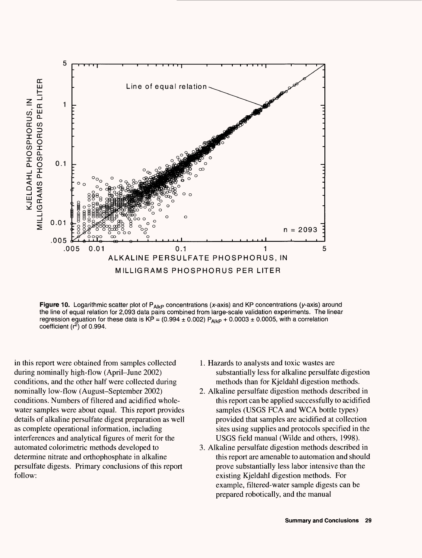

Figure 10. Logarithmic scatter plot of P<sub>AlkP</sub> concentrations (x-axis) and KP concentrations (y-axis) around the line of equal relation for 2,093 data pairs combined from large-scale validation experiments. The linear regression equation for these data is  $KP = (0.994 \pm 0.002) P_{AlKP} + 0.0003 \pm 0.0005$ , with a correlation coefficient  $(r^2)$  of 0.994.

in this report were obtained from samples collected during nominally high-flow (April-June 2002) conditions, and the other half were collected during nominally low-flow (August-September 2002) conditions. Numbers of filtered and acidified wholewater samples were about equal. This report provides details of alkaline persulfate digest preparation as well as complete operational information, including interferences and analytical figures of merit for the automated colorimetric methods developed to determine nitrate and orthophosphate in alkaline persulfate digests. Primary conclusions of this report follow:

- 1. Hazards to analysts and toxic wastes are substantially less for alkaline persulfate digestion methods than for Kjeldahl digestion methods.
- 2. Alkaline persulfate digestion methods described in this report can be applied successfully to acidified samples (USGS FCA and WCA bottle types) provided that samples are acidified at collection sites using supplies and protocols specified in the USGS field manual (Wilde and others, 1998).
- 3. Alkaline persulfate digestion methods described in this report are amenable to automation and should prove substantially less labor intensive than the existing Kjeldahl digestion methods. For example, filtered-water sample digests can be prepared robotically, and the manual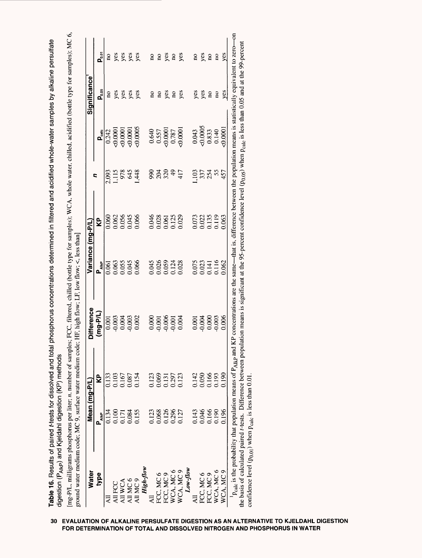Table 16. Results of paired f-tests for dissolved and total phosphorus concentrations determined in filtered and acidified whole-water samples by alkaline persulfate Table 16. Results of paired t-tests for dissolved and total phosphorus concentrations determined in filtered and acidified whole-water samples by alkaline persulfate digestion (PAIKP) and Kjeldahl digestion (KP) methods digestion (P<sub>AlkP</sub>) and Kjeldahl digestion (KP) methods

mg-P/L, milligrams phosphorus per liter; n, number of samples; FCC, filtered, chilled (bottle type for samples); WCA, whole water, chilled, acidified (bottle type for samples); MC 6, [mg-P/L, milligrams phosphorus per liter; *n,* number of samples; FCC, filtered, chilled (bottle type for samples); WCA, whole water, chilled, acidified (bottle type for samples); MC *6,*  ground water medium code; MC 9, surface water medium code; HF, high flow; LF, low flow;  $\lt$ , less than ground water medium code; MC 9, surface water medium code; HF, high flow; LF, low flow; <, less than]

| <b>Water</b>                                     | Mean (mg-P/L)                             |                                           | <b>Difference</b>         | Variance (mg-P/L)                             |                         |                |                                                                                       | Significance            |                         |
|--------------------------------------------------|-------------------------------------------|-------------------------------------------|---------------------------|-----------------------------------------------|-------------------------|----------------|---------------------------------------------------------------------------------------|-------------------------|-------------------------|
| type                                             | $4$ lkp                                   | ç                                         | $(mg-P/L)$                | $P_{\overline{\mathbb{A}}^{l(\mathbb{R}^p)}}$ | ۴ò                      | ς              | $P_{\text{cal}}$                                                                      | ದ್ಯ<br>ದಿ               | ០<br>លិ                 |
|                                                  | 1.34                                      | 0.133                                     |                           | 0.061                                         | 0.060                   |                | 0.242                                                                                 | $\overline{a}$          | $\overline{\mathbf{a}}$ |
| All FCC                                          |                                           |                                           | 000<br>0000000<br>0000000 |                                               |                         | 2,093<br>1,115 |                                                                                       | yes                     |                         |
|                                                  | 0.100<br>0.171<br>0.084<br>0.155          | 0.103<br>0.167<br>0.087<br>0.154          |                           | 0.655<br>0.055<br>0.066                       | 0.062<br>0.056<br>0.045 |                | 90,000<br>90,000                                                                      | yes                     | yes<br>yes<br>yes       |
| AII WCA<br>AII MC 6<br>AII MC 9                  |                                           |                                           |                           |                                               |                         | 978<br>645     | $-0.0001$                                                                             |                         |                         |
|                                                  |                                           |                                           |                           |                                               | 0.066                   | ,448           | $-0.0005$                                                                             | yes<br>yes              |                         |
| Highflow                                         |                                           |                                           |                           |                                               |                         |                |                                                                                       |                         |                         |
|                                                  |                                           | 0.123<br>0.069<br>0.131<br>0.297<br>0.123 |                           | 0.045                                         | 0.046                   | 990            |                                                                                       | $\overline{a}$          | $\overline{\mathbf{a}}$ |
| FCC, MC 6<br>FCC, MC 9<br>WCA, MC 6<br>WCA, MC 9 | 0.123<br>0.068<br>0.126<br>0.127<br>0.127 |                                           | 000<br>0000000<br>000000  | 0.026<br>0.059<br>0.028                       | 0.028                   | 204            | $\begin{array}{c} 0.640 \\ 0.557 \\ 0.0001 \\ 0.787 \\ 0.001 \\ 0.001 \\ \end{array}$ | $\overline{\mathbf{a}}$ | Ωû                      |
|                                                  |                                           |                                           |                           |                                               |                         | 320            |                                                                                       | yes                     | yes                     |
|                                                  |                                           |                                           |                           |                                               |                         | $\frac{4}{9}$  |                                                                                       | $\overline{\mathbf{n}}$ | $\overline{\mathbf{a}}$ |
|                                                  |                                           |                                           |                           |                                               | 0.061<br>0.125<br>0.029 | 417            |                                                                                       | yes                     | yes                     |
| Low flow                                         |                                           |                                           |                           |                                               |                         |                |                                                                                       |                         |                         |
|                                                  |                                           |                                           |                           |                                               | 0.073                   | 103            |                                                                                       | yes                     | $\overline{\mathbf{a}}$ |
|                                                  | 0.143<br>0.046<br>0.166<br>0.190          | 0.142<br>0.050<br>0.1166<br>0.193         |                           | 0.075<br>0.023<br>0.141                       |                         | 337            | $0.043$<br><0.0005                                                                    | yes                     | yes                     |
| FCC, MC 6<br>FCC, MC 9                           |                                           |                                           |                           |                                               | 0.022<br>0.135<br>0.119 | 254            |                                                                                       | $\overline{\mathbf{a}}$ | $\overline{\mathbf{a}}$ |
| WCA, MC 6                                        |                                           |                                           |                           | 0.116                                         |                         | 55             | $\frac{0.833}{0.140}$                                                                 | $\overline{a}$          | $\overline{\mathbf{n}}$ |
| WCA, MC 9                                        | ).196                                     | 0.190                                     | 0.006                     | 0.062                                         | 0.063                   | 457            | 0.0001                                                                                | yes                     | yes                     |

 $\sum_{n=1}^{\infty}$  the basis of calculated paired *t*-tests. Difference between population means is significant at the 95-percent confidence level (p<sub>0.05</sub>) when p<sub>calc</sub> is less than 0.05 and at the 99-percent rcaic כלי<br>ה i, Ĭ. confidence level  $(p_{0.01})$  when  $p_{calc}$  is less than 0.01.  $\frac{d}{dx}$  confidence level ( $p_{0.01}$ ) when  $p_{calc}$  is less than 0.01.

 $\overline{1}$ /ALUATION OF ALKALINE PERSULFATE DIGESTION AS AN ALTERNATIVE TO KJELDAHL DI<br>)R DETERMINATION OF TOTAL AND DISSOLVED NITROGEN AND PHOSPHORUS IN WATER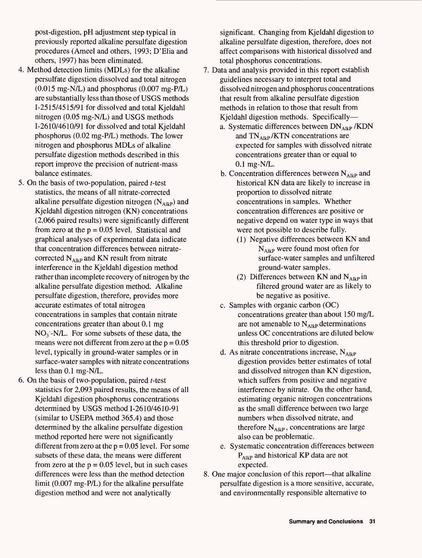post-digestion, pH adjustment step typical in previously reported alkaline persulfate digestion procedures (Ameel and others, 1993; D'Elia and others, 1997) has been eliminated.

- 4. Method detection limits (MDLs) for the alkaline persulfate digestion dissolved and total nitrogen (0.015 mg-N/L) and phosphorus (0.007 mg-P/L) are substantially less than those of USGS methods 1-2515/4515/91 for dissolved and total Kjeldahl nitrogen (0.05 mg-N/L) and USGS methods 1-2610/4610/91 for dissolved and total Kjeldahl phosphorus (0.02 mg-P/L) methods. The lower nitrogen and phosphorus MDLs of alkaline persulfate digestion methods described in this report improve the precision of nutrient-mass balance estimates.
- 5. On the basis of two-population, paired  $t$ -test statistics, the means of all nitrate-corrected alkaline persulfate digestion nitrogen  $(N_{A I kP})$  and Kjeldahl digestion nitrogen (KN) concentrations (2,066 paired results) were significantly different from zero at the  $p = 0.05$  level. Statistical and graphical analyses of experimental data indicate that concentration differences between nitratecorrected  $N_{A1kP}$  and KN result from nitrate interference in the Kjeldahl digestion method rather than incomplete recovery of nitrogen by the alkaline persulfate digestion method. Alkaline persulfate digestion, therefore, provides more accurate estimates of total nitrogen concentrations in samples that contain nitrate concentrations greater than about 0.1 mg  $NO<sub>3</sub>$  -N/L. For some subsets of these data, the means were not different from zero at the  $p = 0.05$ level, typically in ground-water samples or in surface-water samples with nitrate concentrations less than 0.1 mg-N/L.
- 6. On the basis of two-population, paired *-test* statistics for 2,093 paired results, the means of all Kjeldahl digestion phosphorus concentrations determined by USGS method 1-2610/4610-91 (similar to USEPA method 365.4) and those determined by the alkaline persulfate digestion method reported here were not significantly different from zero at the  $p = 0.05$  level. For some subsets of these data, the means were different from zero at the  $p = 0.05$  level, but in such cases differences were less than the method detection limit (0.007 mg-P/L) for the alkaline persulfate digestion method and were not analytically

significant. Changing from Kjeldahl digestion to alkaline persulfate digestion, therefore, does not affect comparisons with historical dissolved and total phosphorus concentrations.

- 7. Data and analysis provided in this report establish guidelines necessary to interpret total and dissolved nitrogen and phosphorus concentrations that result from alkaline persulfate digestion methods in relation to those that result from Kjeldahl digestion methods. Specifically
	- a. Systematic differences between  $DN<sub>AlkP</sub>$ /KDN and  $TN<sub>AlkP</sub>/KTN$  concentrations are expected for samples with dissolved nitrate concentrations greater than or equal to 0.1 mg-N/L.
	- b. Concentration differences between  $N_{AlkP}$  and historical KN data are likely to increase in proportion to dissolved nitrate concentrations in samples. Whether concentration differences are positive or negative depend on water type in ways that were not possible to describe fully.
		- (1) Negative differences between KN and  $N_{A1kP}$  were found most often for surface-water samples and unfiltered ground-water samples.
		- (2) Differences between KN and  $N_{AlkP}$  in filtered ground water are as likely to be negative as positive.
	- c. Samples with organic carbon (OC) concentrations greater than about 150 mg/L are not amenable to  $N_{AlkP}$  determinations unless OC concentrations are diluted below this threshold prior to digestion.
	- d. As nitrate concentrations increase,  $N_{A I k P}$ digestion provides better estimates of total and dissolved nitrogen than KN digestion, which suffers from positive and negative interference by nitrate. On the other hand, estimating organic nitrogen concentrations as the small difference between two large numbers when dissolved nitrate, and therefore  $N_{Alkp}$ , concentrations are large also can be problematic.
	- e. Systematic concentration differences between P<sub>AlkP</sub> and historical KP data are not expected.
- 8. One major conclusion of this report—that alkaline persulfate digestion is a more sensitive, accurate, and environmentally responsible alternative to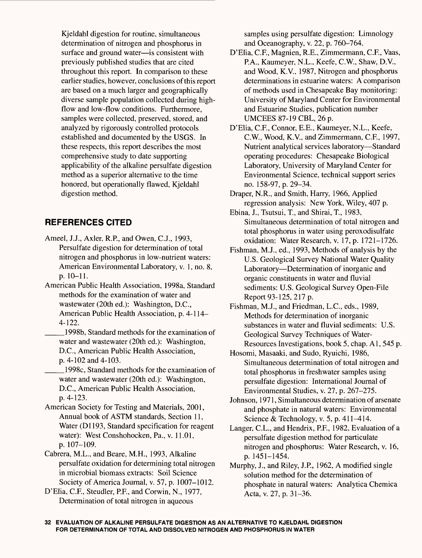Kjeldahl digestion for routine, simultaneous determination of nitrogen and phosphorus in surface and ground water—is consistent with previously published studies that are cited throughout this report. In comparison to these earlier studies, however, conclusions of this report are based on a much larger and geographically diverse sample population collected during highflow and low-flow conditions. Furthermore, samples were collected, preserved, stored, and analyzed by rigorously controlled protocols established and documented by the USGS. In these respects, this report describes the most comprehensive study to date supporting applicability of the alkaline persulfate digestion method as a superior alternative to the time honored, but operationally flawed, Kjeldahl digestion method.

# **REFERENCES CITED**

- Ameel, J.J., Axler, R.P., and Owen, C.J., 1993, Persulfate digestion for determination of total nitrogen and phosphorus in low-nutrient waters: American Environmental Laboratory, v. 1, no. 8, p. 10-11.
- American Public Health Association, 1998a, Standard methods for the examination of water and wastewater (20th ed.): Washington, D.C., American Public Health Association, p. 4-114- 4-122.
	- \_\_\_1998b, Standard methods for the examination of water and wastewater (20th ed.): Washington, D.C., American Public Health Association, p. 4-102 and 4-103.
	- \_\_\_1998c, Standard methods for the examination of water and wastewater (20th ed.): Washington, D.C., American Public Health Association, p. 4-123.
- American Society for Testing and Materials, 2001, Annual book of ASTM standards, Section 11, Water (D1193, Standard specification for reagent water): West Conshohocken, Pa., v. 11.01, p. 107-109.
- Cabrera, M.L., and Beare, M.H., 1993, Alkaline persulfate oxidation for determining total nitrogen in microbial biomass extracts: Soil Science Society of America Journal, v. 57, p. 1007-1012.
- D'Elia, C.F., Steudler, P.P., and Corwin, N., 1977, Determination of total nitrogen in aqueous

samples using persulfate digestion: Limnology and Oceanography, v. 22, p. 760-764.

- D'Elia, C.F., Magnien, R.E., Zimmermann, C.F., Vaas, P.A., Kaumeyer, N.L., Keefe, C.W, Shaw, D.V., and Wood, K.V., 1987, Nitrogen and phosphorus determinations in estuarine waters: A comparison of methods used in Chesapeake Bay monitoring: University of Maryland Center for Environmental and Estuarine Studies, publication number UMCEES 87-19 CBL, 26 p.
- D'Elia, C.F., Connor, E.E., Kaumeyer, N.L., Keefe, C.W, Wood, K.V., and Zimmermann, C.F., 1997, Nutrient analytical services laboratory—Standard operating procedures: Chesapeake Biological Laboratory, University of Maryland Center for Environmental Science, technical support series no. 158-97, p. 29-34.
- Draper, N.R., and Smith, Harry, 1966, Applied regression analysis: New York, Wiley, 407 p.
- Ebina, J., Tsutsui, T., and Shirai, T., 1983, Simultaneous determination of total nitrogen and total phosphorus in water using peroxodisulfate oxidation: Water Research, v. 17, p. 1721-1726.
- Fishman, M.J., ed., 1993, Methods of analysis by the U.S. Geological Survey National Water Quality Laboratory—Determination of inorganic and organic constituents in water and fluvial sediments: U.S. Geological Survey Open-File Report 93-125, 217 p.
- Fishman, M.J., and Friedman, L.C., eds., 1989, Methods for determination of inorganic substances in water and fluvial sediments: U.S. Geological Survey Techniques of Water-Resources Investigations, book 5, chap. Al, 545 p.
- Hosomi, Masaaki, and Sudo, Ryuichi, 1986, Simultaneous determination of total nitrogen and total phosphorus in freshwater samples using persulfate digestion: International Journal of Environmental Studies, v. 27, p. 267-275.
- Johnson, 1971, Simultaneous determination of arsenate and phosphate in natural waters: Environmental Science & Technology, v. 5, p.  $411-414$ .
- Langer, C.L., and Hendrix, P.P., 1982, Evaluation of a persulfate digestion method for particulate nitrogen and phosphorus: Water Research, v. 16, p. 1451-1454.
- Murphy, J., and Riley, J.P., 1962, A modified single solution method for the determination of phosphate in natural waters: Analytica Chemica Acta, v. 27, p. 31-36.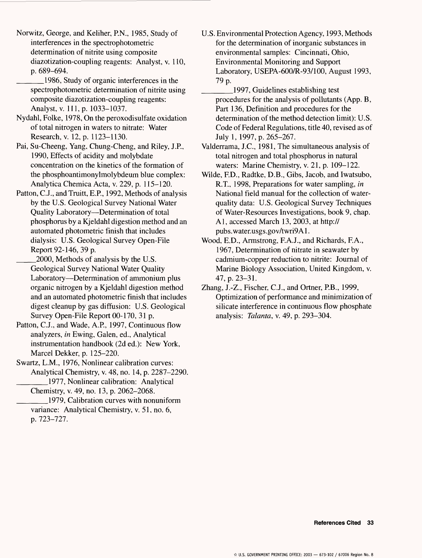Norwitz, George, and Keliher, P.N., 1985, Study of interferences in the spectrophotometric determination of nitrite using composite diazotization-coupling reagents: Analyst, v. 110, p. 689-694.

\_\_\_\_1986, Study of organic interferences in the spectrophotometric determination of nitrite using composite diazotization-coupling reagents: Analyst, v. Ill, p. 1033-1037.

- Nydahl, Folke, 1978, On the peroxodisulfate oxidation of total nitrogen in waters to nitrate: Water Research, v. 12, p. 1123-1130.
- Pai, Su-Cheeng, Yang, Chung-Cheng, and Riley, J.P., 1990, Effects of acidity and molybdate concentration on the kinetics of the formation of the phosphoantimonylmolybdeum blue complex: Analytica Chemica Acta, v. 229, p. 115-120.
- Patton, C.J., and Truitt, E.P., 1992, Methods of analysis by the U.S. Geological Survey National Water Quality Laboratory—Determination of total phosphorus by a Kjeldahl digestion method and an automated photometric finish that includes dialysis: U.S. Geological Survey Open-File Report 92-146, 39 p.

\_\_\_2000, Methods of analysis by the U.S. Geological Survey National Water Quality Laboratory—Determination of ammonium plus organic nitrogen by a Kjeldahl digestion method and an automated photometric finish that includes digest cleanup by gas diffusion: U.S. Geological Survey Open-File Report 00-170, 31 p.

- Patton, C.J., and Wade, A.P., 1997, Continuous flow analyzers, *in* Ewing, Galen, ed., Analytical instrumentation handbook (2d ed.): New York, Marcel Dekker, p. 125-220.
- Swartz, L.M., 1976, Nonlinear calibration curves: Analytical Chemistry, v. 48, no. 14, p. 2287-2290. \_\_\_\_\_1977, Nonlinear calibration: Analytical

Chemistry, v. 49, no. 13, p. 2062-2068. \_\_\_\_\_1979, Calibration curves with nonuniform variance: Analytical Chemistry, v. 51, no. 6, p. 723-727.

- U.S. Environmental Protection Agency, 1993, Methods for the determination of inorganic substances in environmental samples: Cincinnati, Ohio, Environmental Monitoring and Support Laboratory, USEPA-600/R-93/100, August 1993, 79 p.
- \_\_\_\_\_1997, Guidelines establishing test procedures for the analysis of pollutants (App. B, Part 136, Definition and procedures for the determination of the method detection limit): U.S. Code of Federal Regulations, title 40, revised as of July 1, 1997, p. 265-267.
- Valderrama, J.C., 1981, The simultaneous analysis of total nitrogen and total phosphorus in natural waters: Marine Chemistry, v. 21, p. 109-122.
- Wilde, F.D., Radtke, D.B., Gibs, Jacob, and Iwatsubo, R.T., 1998, Preparations for water sampling, *in*  National field manual for the collection of waterquality data: U.S. Geological Survey Techniques of Water-Resources Investigations, book 9, chap. Al, accessed March 13, 2003, at http:// pubs.water.usgs.gov/twri9Al.
- Wood, E.D., Armstrong, F.A.J., and Richards, F.A., 1967, Determination of nitrate in seawater by cadmium-copper reduction to nitrite: Journal of Marine Biology Association, United Kingdom, v. 47, p. 23-31.
- Zhang, J.-Z., Fischer, C.J., and Ortner, P.B., 1999, Optimization of performance and minimization of silicate interference in continuous flow phosphate analysis: *Talanta,* v. 49, p. 293-304.